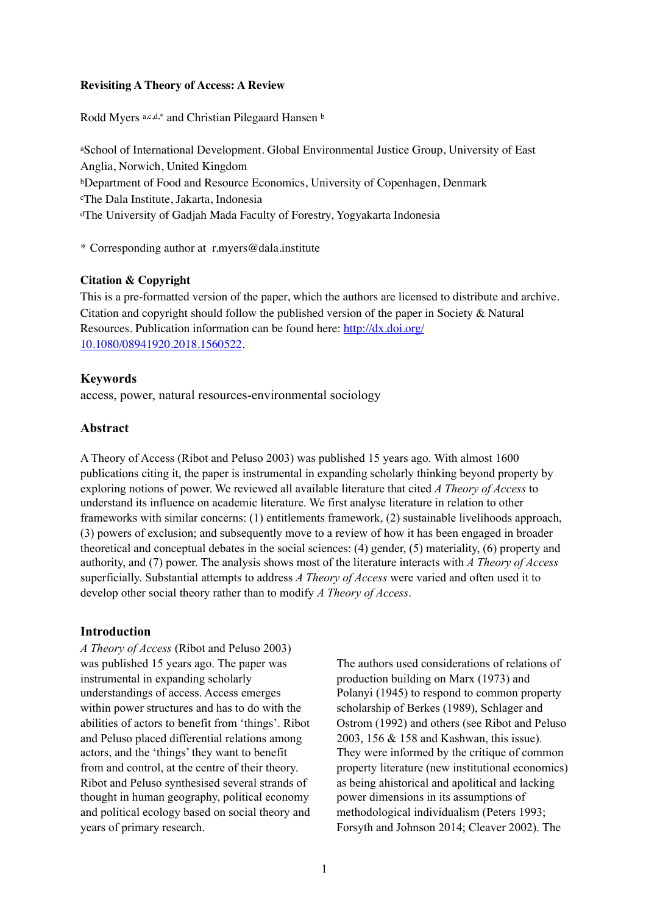#### **Revisiting A Theory of Access: A Review**

Rodd Myers a,c,d,\* and Christian Pilegaard Hansen b

aSchool of International Development. Global Environmental Justice Group, University of East Anglia, Norwich, United Kingdom bDepartment of Food and Resource Economics, University of Copenhagen, Denmark cThe Dala Institute, Jakarta, Indonesia dThe University of Gadjah Mada Faculty of Forestry, Yogyakarta Indonesia

\* Corresponding author at r.myers@dala.institute

#### **Citation & Copyright**

This is a pre-formatted version of the paper, which the authors are licensed to distribute and archive. Citation and copyright should follow the published version of the paper in Society & Natural Resources. Publication information can be found here: [http://dx.doi.org/](http://dx.doi.org/10.1080/08941920.2018.1560522) [10.1080/08941920.2018.1560522.](http://dx.doi.org/10.1080/08941920.2018.1560522)

#### **Keywords**

access, power, natural resources-environmental sociology

### **Abstract**

A Theory of Access (Ribot and Peluso 2003) was published 15 years ago. With almost 1600 publications citing it, the paper is instrumental in expanding scholarly thinking beyond property by exploring notions of power. We reviewed all available literature that cited *A Theory of Access* to understand its influence on academic literature. We first analyse literature in relation to other frameworks with similar concerns: (1) entitlements framework, (2) sustainable livelihoods approach, (3) powers of exclusion; and subsequently move to a review of how it has been engaged in broader theoretical and conceptual debates in the social sciences: (4) gender, (5) materiality, (6) property and authority, and (7) power. The analysis shows most of the literature interacts with *A Theory of Access* superficially. Substantial attempts to address *A Theory of Access* were varied and often used it to develop other social theory rather than to modify *A Theory of Access*.

#### **Introduction**

*A Theory of Access* [\(Ribot and Peluso 2003\)](https://paperpile.com/c/mYXh9c/jxjiR) was published 15 years ago. The paper was instrumental in expanding scholarly understandings of access. Access emerges within power structures and has to do with the abilities of actors to benefit from 'things'. Ribot and Peluso placed differential relations among actors, and the 'things' they want to benefit from and control, at the centre of their theory. Ribot and Peluso synthesised several strands of thought in human geography, political economy and political ecology based on social theory and years of primary research.

The authors used considerations of relations of production building on Marx [\(1973\)](https://paperpile.com/c/mYXh9c/F6BqN/?noauthor=1) and Polanyi [\(1945\)](https://paperpile.com/c/mYXh9c/SZXwm/?noauthor=1) to respond to common property scholarship of Berkes [\(1989\)](https://paperpile.com/c/mYXh9c/JMnUw/?noauthor=1), Schlager and [Ostrom](https://paperpile.com/c/mYXh9c/jxjiR/?locator=156%252520%252526%252520158&prefix=see&suffix=and%252520Kashwan%25252C%252520this%252520issue) [\(1992\)](https://paperpile.com/c/mYXh9c/3W4ia/?noauthor=1) [and others \(see Ribot and Peluso](https://paperpile.com/c/mYXh9c/jxjiR/?locator=156%252520%252526%252520158&prefix=see&suffix=and%252520Kashwan%25252C%252520this%252520issue)  [2003, 156 & 158 and Kashwan, this issue\)](https://paperpile.com/c/mYXh9c/jxjiR/?locator=156%252520%252526%252520158&prefix=see&suffix=and%252520Kashwan%25252C%252520this%252520issue). They were informed by the critique of common property literature (new institutional economics) as being ahistorical and apolitical and lacking power dimensions in its assumptions of [methodological individualism \(Peters 1993;](https://paperpile.com/c/mYXh9c/ZPJSx+fNZPz+C73wb)  [Forsyth and Johnson 2014; Cleaver 2002\)](https://paperpile.com/c/mYXh9c/ZPJSx+fNZPz+C73wb). The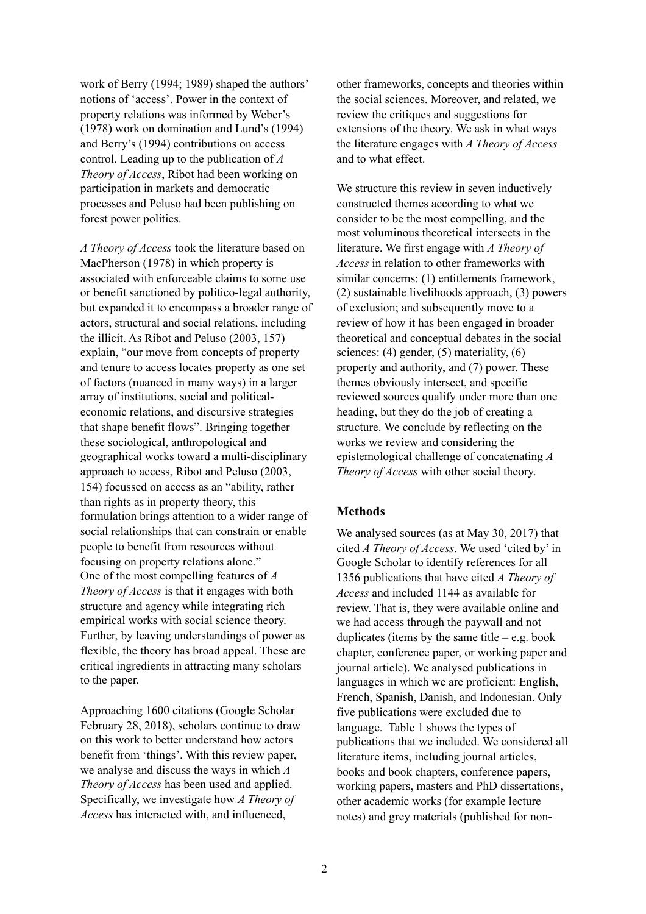work of Berry [\(1994; 1989\)](https://paperpile.com/c/mYXh9c/B1xa3+OrRq0/?noauthor=1,1) shaped the authors' notions of 'access'. Power in the context of property relations was informed by Weber's [\(1978\)](https://paperpile.com/c/mYXh9c/SBumg/?noauthor=1) work on domination and Lund's [\(1994\)](https://paperpile.com/c/mYXh9c/JcTAk/?noauthor=1) and Berry's [\(1994\)](https://paperpile.com/c/mYXh9c/B1xa3/?noauthor=1) contributions on access control. Leading up to the publication of *A Theory of Access*, Ribot had been working on participation in markets and democratic processes and Peluso had been publishing on forest power politics.

*A Theory of Access* took the literature based on MacPherson [\(1978\)](https://paperpile.com/c/mYXh9c/FpiMs/?noauthor=1) in which property is associated with enforceable claims to some use or benefit sanctioned by politico-legal authority, but expanded it to encompass a broader range of actors, structural and social relations, including the illicit. As Ribot and Peluso [\(2003, 157\)](https://paperpile.com/c/mYXh9c/jxjiR/?locator=157&noauthor=1) explain, "our move from concepts of property and tenure to access locates property as one set of factors (nuanced in many ways) in a larger array of institutions, social and politicaleconomic relations, and discursive strategies that shape benefit flows". Bringing together these sociological, anthropological and geographical works toward a multi-disciplinary approach to access, Ribot and Peluso [\(2003,](https://paperpile.com/c/mYXh9c/jxjiR/?locator=154&noauthor=1)  [154\)](https://paperpile.com/c/mYXh9c/jxjiR/?locator=154&noauthor=1) focussed on access as an "ability, rather than rights as in property theory, this formulation brings attention to a wider range of social relationships that can constrain or enable people to benefit from resources without focusing on property relations alone." One of the most compelling features of *A Theory of Access* is that it engages with both structure and agency while integrating rich empirical works with social science theory. Further, by leaving understandings of power as flexible, the theory has broad appeal. These are critical ingredients in attracting many scholars to the paper.

Approaching 1600 citations (Google Scholar February 28, 2018), scholars continue to draw on this work to better understand how actors benefit from 'things'. With this review paper, we analyse and discuss the ways in which *A Theory of Access* has been used and applied. Specifically, we investigate how *A Theory of Access* has interacted with, and influenced,

other frameworks, concepts and theories within the social sciences. Moreover, and related, we review the critiques and suggestions for extensions of the theory. We ask in what ways the literature engages with *A Theory of Access*  and to what effect.

We structure this review in seven inductively constructed themes according to what we consider to be the most compelling, and the most voluminous theoretical intersects in the literature. We first engage with *A Theory of Access* in relation to other frameworks with similar concerns: (1) entitlements framework. (2) sustainable livelihoods approach, (3) powers of exclusion; and subsequently move to a review of how it has been engaged in broader theoretical and conceptual debates in the social sciences: (4) gender, (5) materiality, (6) property and authority, and (7) power. These themes obviously intersect, and specific reviewed sources qualify under more than one heading, but they do the job of creating a structure. We conclude by reflecting on the works we review and considering the epistemological challenge of concatenating *A Theory of Access* with other social theory.

## **Methods**

We analysed sources (as at May 30, 2017) that cited *A Theory of Access*. We used 'cited by' in Google Scholar to identify references for all 1356 publications that have cited *A Theory of Access* and included 1144 as available for review. That is, they were available online and we had access through the paywall and not duplicates (items by the same title – e.g. book chapter, conference paper, or working paper and journal article). We analysed publications in languages in which we are proficient: English, French, Spanish, Danish, and Indonesian. Only five publications were excluded due to language. Table 1 shows the types of publications that we included. We considered all literature items, including journal articles, books and book chapters, conference papers, working papers, masters and PhD dissertations, other academic works (for example lecture notes) and grey materials (published for non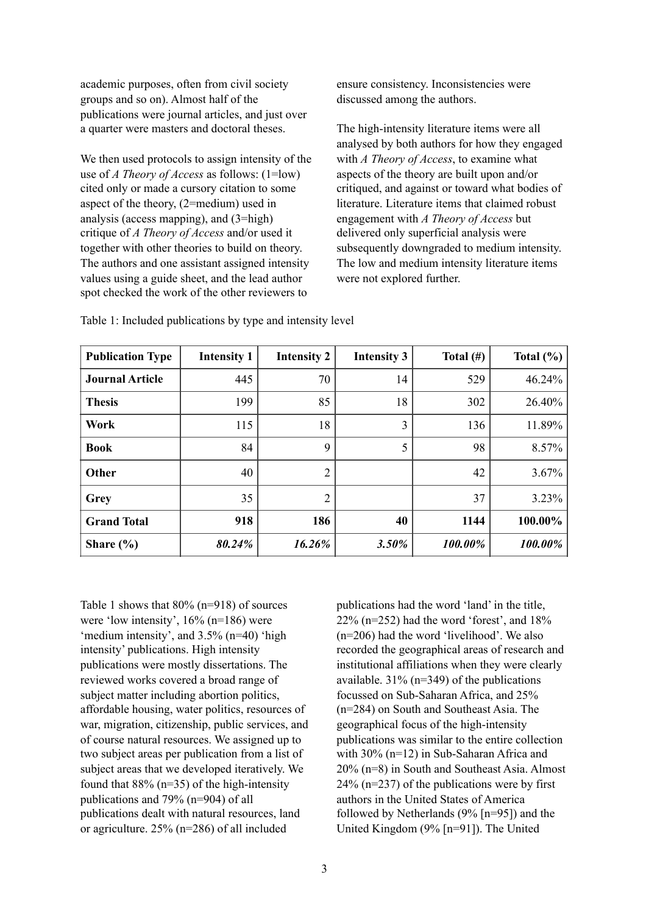academic purposes, often from civil society groups and so on). Almost half of the publications were journal articles, and just over a quarter were masters and doctoral theses.

We then used protocols to assign intensity of the use of *A Theory of Access* as follows: (1=low) cited only or made a cursory citation to some aspect of the theory, (2=medium) used in analysis (access mapping), and (3=high) critique of *A Theory of Access* and/or used it together with other theories to build on theory. The authors and one assistant assigned intensity values using a guide sheet, and the lead author spot checked the work of the other reviewers to

ensure consistency. Inconsistencies were discussed among the authors.

The high-intensity literature items were all analysed by both authors for how they engaged with *A Theory of Access*, to examine what aspects of the theory are built upon and/or critiqued, and against or toward what bodies of literature. Literature items that claimed robust engagement with *A Theory of Access* but delivered only superficial analysis were subsequently downgraded to medium intensity. The low and medium intensity literature items were not explored further.

| <b>Publication Type</b> | <b>Intensity 1</b> | <b>Intensity 2</b> | <b>Intensity 3</b> | Total $(H)$ | Total $(\% )$ |
|-------------------------|--------------------|--------------------|--------------------|-------------|---------------|
| <b>Journal Article</b>  | 445                | 70                 | 14                 | 529         | 46.24%        |
| <b>Thesis</b>           | 199                | 85                 | 18                 | 302         | 26.40%        |
| Work                    | 115                | 18                 | 3                  | 136         | 11.89%        |
| <b>Book</b>             | 84                 | 9                  | 5                  | 98          | 8.57%         |
| Other                   | 40                 | $\overline{2}$     |                    | 42          | $3.67\%$      |
| Grey                    | 35                 | 2                  |                    | 37          | 3.23%         |
| <b>Grand Total</b>      | 918                | 186                | 40                 | 1144        | 100.00%       |
| Share $(\% )$           | 80.24%             | 16.26%             | $3.50\%$           | 100.00%     | 100.00%       |

Table 1: Included publications by type and intensity level

Table 1 shows that 80% (n=918) of sources were 'low intensity', 16% (n=186) were 'medium intensity', and 3.5% (n=40) 'high intensity' publications. High intensity publications were mostly dissertations. The reviewed works covered a broad range of subject matter including abortion politics, affordable housing, water politics, resources of war, migration, citizenship, public services, and of course natural resources. We assigned up to two subject areas per publication from a list of subject areas that we developed iteratively. We found that  $88\%$  (n=35) of the high-intensity publications and 79% (n=904) of all publications dealt with natural resources, land or agriculture. 25% (n=286) of all included

publications had the word 'land' in the title, 22% (n=252) had the word 'forest', and 18% (n=206) had the word 'livelihood'. We also recorded the geographical areas of research and institutional affiliations when they were clearly available. 31% (n=349) of the publications focussed on Sub-Saharan Africa, and 25% (n=284) on South and Southeast Asia. The geographical focus of the high-intensity publications was similar to the entire collection with 30% (n=12) in Sub-Saharan Africa and 20% (n=8) in South and Southeast Asia. Almost 24% (n=237) of the publications were by first authors in the United States of America followed by Netherlands (9% [n=95]) and the United Kingdom (9% [n=91]). The United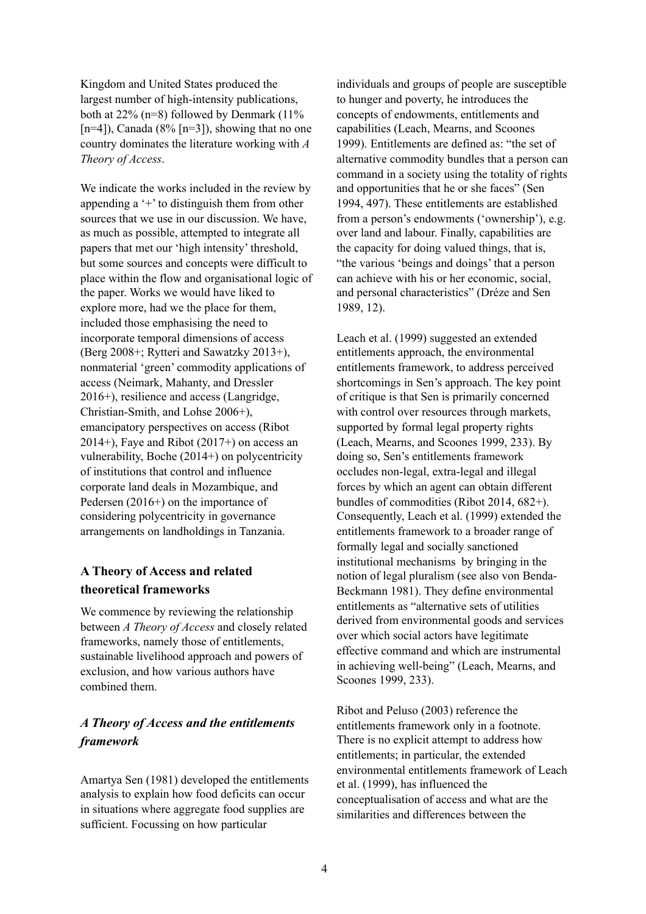Kingdom and United States produced the largest number of high-intensity publications, both at 22% (n=8) followed by Denmark (11%  $[n=4]$ , Canada (8%  $[n=3]$ ), showing that no one country dominates the literature working with *A Theory of Access*.

We indicate the works included in the review by appending a '+' to distinguish them from other sources that we use in our discussion. We have, as much as possible, attempted to integrate all papers that met our 'high intensity' threshold, but some sources and concepts were difficult to place within the flow and organisational logic of the paper. Works we would have liked to explore more, had we the place for them, included those emphasising the need to incorporate temporal dimensions of access [\(Berg 2008+; Rytteri and Sawatzky 2013+\)](https://paperpile.com/c/mYXh9c/vyo89+5DCGy/?suffix=%25252B,%25252B), nonmaterial 'green' commodity applications of access [\(Neimark, Mahanty, and Dressler](https://paperpile.com/c/mYXh9c/69ZzQ/?suffix=%25252B)  [2016+\), resilience and access](https://paperpile.com/c/mYXh9c/69ZzQ/?suffix=%25252B) [\(Langridge,](https://paperpile.com/c/mYXh9c/mEogk/?suffix=%25252B)  [Christian-Smith, and Lohse 2006+\),](https://paperpile.com/c/mYXh9c/mEogk/?suffix=%25252B) emancipatory perspectives on access [\(Ribot](https://paperpile.com/c/mYXh9c/r132R/?suffix=%25252B)  [2014+\),](https://paperpile.com/c/mYXh9c/r132R/?suffix=%25252B) Faye and Ribot [\(2017+\)](https://paperpile.com/c/mYXh9c/384ap/?suffix=%25252B&noauthor=1) on access an vulnerability, Boche (2014+) on polycentricity of institutions that control and influence corporate land deals in Mozambique, and Pedersen (2016+) on the importance of considering polycentricity in governance arrangements on landholdings in Tanzania.

# **A Theory of Access and related theoretical frameworks**

We commence by reviewing the relationship between *A Theory of Access* and closely related frameworks, namely those of entitlements, sustainable livelihood approach and powers of exclusion, and how various authors have combined them.

# *A Theory of Access and the entitlements framework*

Amartya Sen [\(1981\)](https://paperpile.com/c/mYXh9c/A092K/?noauthor=1) developed the entitlements analysis to explain how food deficits can occur in situations where aggregate food supplies are sufficient. Focussing on how particular

individuals and groups of people are susceptible to hunger and poverty, he introduces the concepts of endowments, entitlements and capabilities [\(Leach, Mearns, and Scoones](https://paperpile.com/c/mYXh9c/qqcN5)  [1999\)](https://paperpile.com/c/mYXh9c/qqcN5). Entitlements are defined as: "the set of alternative commodity bundles that a person can command in a society using the totality of rights and opportunities that he or she faces" [\(Sen](https://paperpile.com/c/mYXh9c/TG23G/?locator=497)  [1994, 497\)](https://paperpile.com/c/mYXh9c/TG23G/?locator=497). These entitlements are established from a person's endowments ('ownership'), e.g. over land and labour. Finally, capabilities are the capacity for doing valued things, that is, "the various 'beings and doings' that a person can achieve with his or her economic, social, and personal characteristics" [\(Dréze and Sen](https://paperpile.com/c/mYXh9c/koOoP/?locator=12)  [1989, 12\)](https://paperpile.com/c/mYXh9c/koOoP/?locator=12).

Leach et al. [\(1999\)](https://paperpile.com/c/mYXh9c/qqcN5/?noauthor=1) suggested an extended entitlements approach, the environmental entitlements framework, to address perceived shortcomings in Sen's approach. The key point of critique is that Sen is primarily concerned with control over resources through markets, supported by formal legal property rights [\(Leach, Mearns, and Scoones 1999, 233\)](https://paperpile.com/c/mYXh9c/qqcN5/?locator=233). By doing so, Sen's entitlements framework occludes non-legal, extra-legal and illegal forces by which an agent can obtain different bundles of commodities [\(Ribot 2014, 682+\)](https://paperpile.com/c/mYXh9c/r132R/?locator=682&suffix=%25252B). Consequently, Leach et al. [\(1999\)](https://paperpile.com/c/mYXh9c/qqcN5/?noauthor=1) extended the entitlements framework to a broader range of formally legal and socially sanctioned institutional mechanisms by bringing in the notion of legal pluralism [\(see also von Benda-](https://paperpile.com/c/mYXh9c/MLoOG/?prefix=see%252520also)[Beckmann 1981\)](https://paperpile.com/c/mYXh9c/MLoOG/?prefix=see%252520also). They define environmental entitlements as "alternative sets of utilities derived from environmental goods and services over which social actors have legitimate effective command and which are instrumental in achieving well-being" [\(Leach, Mearns, and](https://paperpile.com/c/mYXh9c/qqcN5/?locator=233)  [Scoones 1999, 233\)](https://paperpile.com/c/mYXh9c/qqcN5/?locator=233).

Ribot and Peluso (2003) reference the entitlements framework only in a footnote. There is no explicit attempt to address how entitlements; in particular, the extended environmental entitlements framework of Leach et al. (1999), has influenced the conceptualisation of access and what are the similarities and differences between the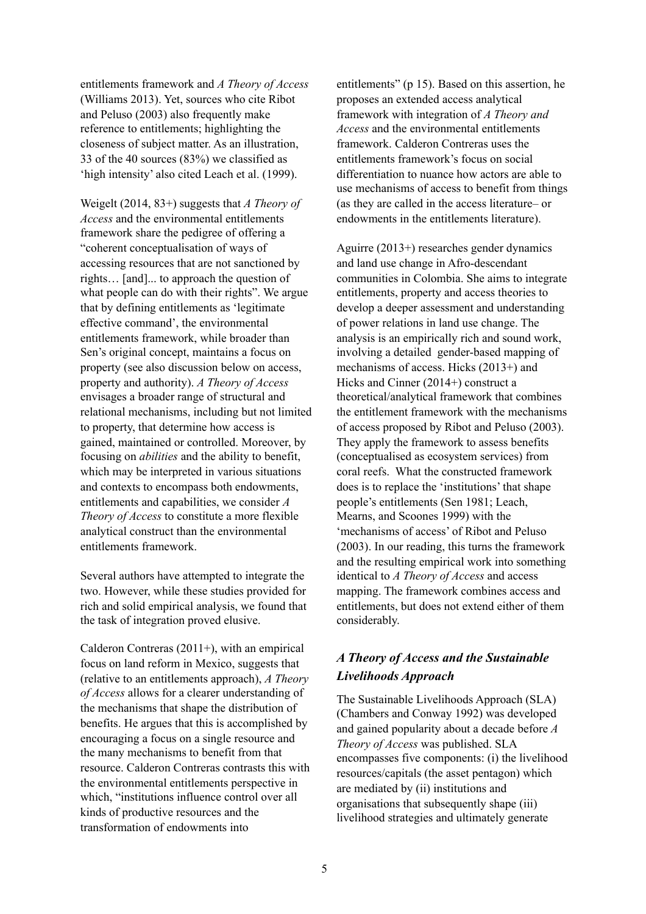entitlements framework and *A Theory of Access* [\(Williams 2013\).](https://paperpile.com/c/mYXh9c/25yjM) Yet, sources who cite Ribot and Peluso (2003) also frequently make reference to entitlements; highlighting the closeness of subject matter. As an illustration, 33 of the 40 sources (83%) we classified as 'high intensity' also cited Leach et al. [\(1999\)](https://paperpile.com/c/mYXh9c/qqcN5/?noauthor=1).

Weigelt [\(2014, 83+\)](https://paperpile.com/c/mYXh9c/pgMnc/?locator=83&suffix=%25252B&noauthor=1) suggests that *A Theory of Access* and the environmental entitlements framework share the pedigree of offering a "coherent conceptualisation of ways of accessing resources that are not sanctioned by rights… [and]... to approach the question of what people can do with their rights". We argue that by defining entitlements as 'legitimate effective command', the environmental entitlements framework, while broader than Sen's original concept, maintains a focus on property (see also discussion below on access, property and authority). *A Theory of Access*  envisages a broader range of structural and relational mechanisms, including but not limited to property, that determine how access is gained, maintained or controlled. Moreover, by focusing on *abilities* and the ability to benefit, which may be interpreted in various situations and contexts to encompass both endowments, entitlements and capabilities, we consider *A Theory of Access* to constitute a more flexible analytical construct than the environmental entitlements framework.

Several authors have attempted to integrate the two. However, while these studies provided for rich and solid empirical analysis, we found that the task of integration proved elusive.

Calderon Contreras [\(2011+\),](https://paperpile.com/c/mYXh9c/BTZ37/?suffix=%25252B&noauthor=1) with an empirical focus on land reform in Mexico, suggests that (relative to an entitlements approach), *A Theory of Access* allows for a clearer understanding of the mechanisms that shape the distribution of benefits. He argues that this is accomplished by encouraging a focus on a single resource and the many mechanisms to benefit from that resource. Calderon Contreras contrasts this with the environmental entitlements perspective in which, "institutions influence control over all kinds of productive resources and the transformation of endowments into

entitlements" (p 15). Based on this assertion, he proposes an extended access analytical framework with integration of *A Theory and Access* and the environmental entitlements framework. Calderon Contreras uses the entitlements framework's focus on social differentiation to nuance how actors are able to use mechanisms of access to benefit from things (as they are called in the access literature– or endowments in the entitlements literature).

Aguirre [\(2013+\)](https://paperpile.com/c/mYXh9c/RjLej/?suffix=%25252B&noauthor=1) researches gender dynamics and land use change in Afro-descendant communities in Colombia. She aims to integrate entitlements, property and access theories to develop a deeper assessment and understanding of power relations in land use change. The analysis is an empirically rich and sound work, involving a detailed gender-based mapping of mechanisms of access. Hicks [\(2013+\)](https://paperpile.com/c/mYXh9c/8qiP8/?suffix=%25252B&noauthor=1) and Hicks and Cinner [\(2014+\)](https://paperpile.com/c/mYXh9c/mfCn1/?suffix=%25252B&noauthor=1) construct a theoretical/analytical framework that combines the entitlement framework with the mechanisms of access proposed by Ribot and Peluso [\(2003\)](https://paperpile.com/c/mYXh9c/jxjiR/?noauthor=1). They apply the framework to assess benefits (conceptualised as ecosystem services) from coral reefs. What the constructed framework does is to replace the 'institutions' that shape [people's entitlements \(Sen 1981; Leach,](https://paperpile.com/c/mYXh9c/A092K+qqcN5)  [Mearns, and Scoones 1999\)](https://paperpile.com/c/mYXh9c/A092K+qqcN5) with the 'mechanisms of access' of Ribot and Peluso (2003). In our reading, this turns the framework and the resulting empirical work into something identical to *A Theory of Access* and access mapping. The framework combines access and entitlements, but does not extend either of them considerably.

# *A Theory of Access and the Sustainable Livelihoods Approach*

The Sustainable Livelihoods Approach (SLA) [\(Chambers and Conway 1992\)](https://paperpile.com/c/mYXh9c/64nUH) was developed and gained popularity about a decade before *A Theory of Access* was published. SLA encompasses five components: (i) the livelihood resources/capitals (the asset pentagon) which are mediated by (ii) institutions and organisations that subsequently shape (iii) livelihood strategies and ultimately generate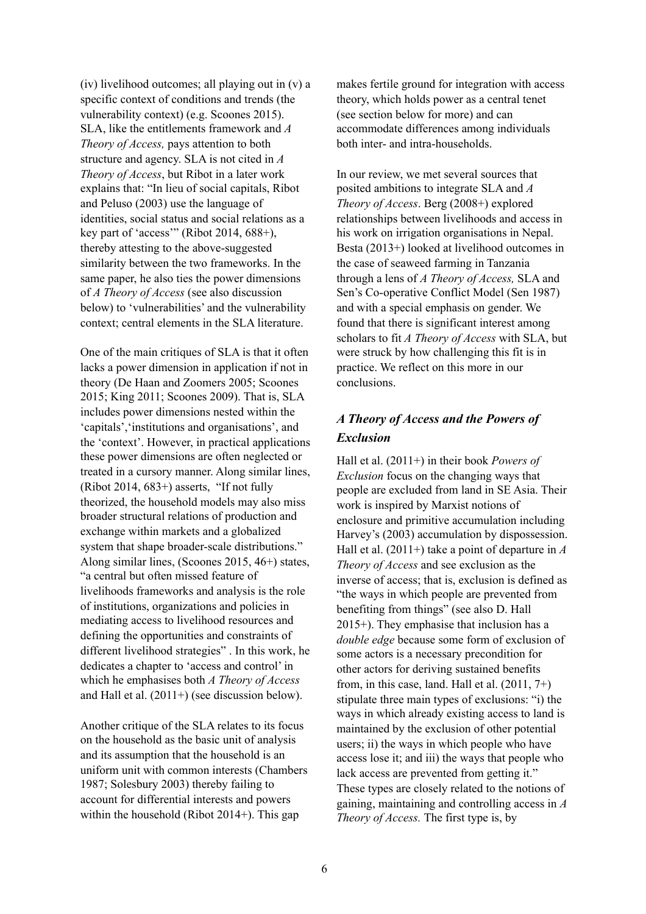(iv) livelihood outcomes; all playing out in (v) a specific context of conditions and trends (the vulnerability context) (e.g. Scoones 2015). SLA, like the entitlements framework and *A Theory of Access,* pays attention to both structure and agency. SLA is not cited in *A Theory of Access*, but Ribot in a later work explains that: "In lieu of social capitals, Ribot and Peluso (2003) use the language of identities, social status and social relations as a key part of 'access'" [\(Ribot 2014, 688+\)](https://paperpile.com/c/mYXh9c/r132R/?locator=688&suffix=%25252B), thereby attesting to the above-suggested similarity between the two frameworks. In the same paper, he also ties the power dimensions of *A Theory of Access* (see also discussion below) to 'vulnerabilities' and the vulnerability context; central elements in the SLA literature.

One of the main critiques of SLA is that it often lacks a power dimension in application if not in theory [\(De Haan and Zoomers 2005; Scoones](https://paperpile.com/c/mYXh9c/m5Unq+TcOlX+uu4tk+TpoTn)  [2015; King 2011; Scoones 2009\). That is, SLA](https://paperpile.com/c/mYXh9c/m5Unq+TcOlX+uu4tk+TpoTn) includes power dimensions nested within the 'capitals','institutions and organisations', and the 'context'. However, in practical applications these power dimensions are often neglected or treated in a cursory manner. Along similar lines, [\(Ribot 2014, 683+\)](https://paperpile.com/c/mYXh9c/r132R/?locator=683&suffix=%25252B) asserts, "If not fully theorized, the household models may also miss broader structural relations of production and exchange within markets and a globalized system that shape broader-scale distributions." Along similar lines, [\(Scoones 2015, 46+\)](https://paperpile.com/c/mYXh9c/TcOlX/?locator=46&suffix=%25252B) states, "a central but often missed feature of livelihoods frameworks and analysis is the role of institutions, organizations and policies in mediating access to livelihood resources and defining the opportunities and constraints of different livelihood strategies" . In this work, he dedicates a chapter to 'access and control' in which he emphasises both *A Theory of Access* and Hall et al. [\(2011+\)](https://paperpile.com/c/mYXh9c/ilwSB/?suffix=%25252B&noauthor=1) (see discussion below).

Another critique of the SLA relates to its focus on the household as the basic unit of analysis and its assumption that the household is an uniform unit with common interests [\(Chambers](https://paperpile.com/c/mYXh9c/11tpx+ArYh4)  [1987; Solesbury 2003\)](https://paperpile.com/c/mYXh9c/11tpx+ArYh4) thereby failing to account for differential interests and powers within the household [\(Ribot 2014+\).](https://paperpile.com/c/mYXh9c/r132R/?suffix=%25252B) This gap

makes fertile ground for integration with access theory, which holds power as a central tenet (see section below for more) and can accommodate differences among individuals both inter- and intra-households.

In our review, we met several sources that posited ambitions to integrate SLA and *A Theory of Access*. Berg [\(2008+\)](https://paperpile.com/c/mYXh9c/vyo89/?suffix=%25252B&noauthor=1) explored relationships between livelihoods and access in his work on irrigation organisations in Nepal. Besta [\(2013+\)](https://paperpile.com/c/mYXh9c/UqpRg/?suffix=%25252B&noauthor=1) looked at livelihood outcomes in the case of seaweed farming in Tanzania through a lens of *A Theory of Access,* SLA and Sen's Co-operative Conflict Model [\(Sen 1987\)](https://paperpile.com/c/mYXh9c/ccJyG) and with a special emphasis on gender. We found that there is significant interest among scholars to fit *A Theory of Access* with SLA, but were struck by how challenging this fit is in practice. We reflect on this more in our conclusions.

# *A Theory of Access and the Powers of Exclusion*

Hall et al. (2011+) in their book *Powers of Exclusion* focus on the changing ways that people are excluded from land in SE Asia. Their work is inspired by Marxist notions of enclosure and primitive accumulation including Harvey's [\(2003\)](https://paperpile.com/c/mYXh9c/O3R7/?noauthor=1) accumulation by dispossession. Hall et al. [\(2011+\)](https://paperpile.com/c/mYXh9c/ilwSB/?suffix=%25252B&noauthor=1) take a point of departure in *A Theory of Access* and see exclusion as the inverse of access; that is, exclusion is defined as "the ways in which people are prevented from benefiting from things" [\(see also D. Hall](https://paperpile.com/c/mYXh9c/FT4Z/?prefix=see%252520also&suffix=%25252B)  [2015+\).](https://paperpile.com/c/mYXh9c/FT4Z/?prefix=see%252520also&suffix=%25252B) They emphasise that inclusion has a *double edge* because some form of exclusion of some actors is a necessary precondition for other actors for deriving sustained benefits from, in this case, land. Hall et al.  $(2011, 7+)$ stipulate three main types of exclusions: "i) the ways in which already existing access to land is maintained by the exclusion of other potential users; ii) the ways in which people who have access lose it; and iii) the ways that people who lack access are prevented from getting it." These types are closely related to the notions of gaining, maintaining and controlling access in *A Theory of Access.* The first type is, by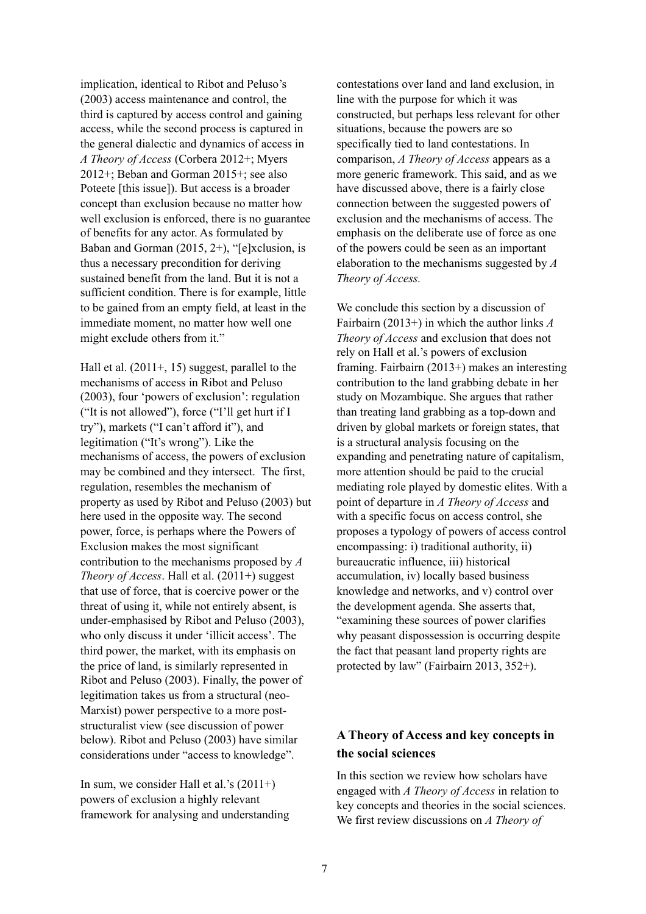implication, identical to Ribot and Peluso's [\(2003\)](https://paperpile.com/c/mYXh9c/jxjiR/?noauthor=1) access maintenance and control, the third is captured by access control and gaining access, while the second process is captured in the general dialectic and dynamics of access in *A Theory of Access* [\(Corbera 2012+; Myers](https://paperpile.com/c/mYXh9c/0vT3g+TpyPL+8V91Y/?suffix=%25252B,%25252B,%25252B%25253B%252520see%252520also%252520Poteete%252520%25255Bthis%252520issue%25255D)  [2012+; Beban and Gorman 2015+; see also](https://paperpile.com/c/mYXh9c/0vT3g+TpyPL+8V91Y/?suffix=%25252B,%25252B,%25252B%25253B%252520see%252520also%252520Poteete%252520%25255Bthis%252520issue%25255D)  [Poteete \[this issue\]\).](https://paperpile.com/c/mYXh9c/0vT3g+TpyPL+8V91Y/?suffix=%25252B,%25252B,%25252B%25253B%252520see%252520also%252520Poteete%252520%25255Bthis%252520issue%25255D) But access is a broader concept than exclusion because no matter how well exclusion is enforced, there is no guarantee of benefits for any actor. As formulated by Baban and Gorman [\(2015, 2+\),](https://paperpile.com/c/mYXh9c/8V91Y/?locator=2&suffix=%25252B&noauthor=1) "[e]xclusion, is thus a necessary precondition for deriving sustained benefit from the land. But it is not a sufficient condition. There is for example, little to be gained from an empty field, at least in the immediate moment, no matter how well one might exclude others from it."

Hall et al.  $(2011+, 15)$  suggest, parallel to the mechanisms of access in Ribot and Peluso (2003), four 'powers of exclusion': regulation ("It is not allowed"), force ("I'll get hurt if I try"), markets ("I can't afford it"), and legitimation ("It's wrong"). Like the mechanisms of access, the powers of exclusion may be combined and they intersect. The first, regulation, resembles the mechanism of property as used by Ribot and Peluso [\(2003\)](https://paperpile.com/c/mYXh9c/jxjiR/?noauthor=1) but here used in the opposite way. The second power, force, is perhaps where the Powers of Exclusion makes the most significant contribution to the mechanisms proposed by *A Theory of Access*. Hall et al. [\(2011+\)](https://paperpile.com/c/mYXh9c/ilwSB/?suffix=%25252B&noauthor=1) suggest that use of force, that is coercive power or the threat of using it, while not entirely absent, is under-emphasised by Ribot and Peluso [\(2003\)](https://paperpile.com/c/mYXh9c/jxjiR/?noauthor=1), who only discuss it under 'illicit access'. The third power, the market, with its emphasis on the price of land, is similarly represented in Ribot and Peluso (2003). Finally, the power of legitimation takes us from a structural (neo-Marxist) power perspective to a more poststructuralist view (see discussion of power below). Ribot and Peluso (2003) have similar considerations under "access to knowledge".

In sum, we consider Hall et al.'s  $(2011+)$ powers of exclusion a highly relevant framework for analysing and understanding contestations over land and land exclusion, in line with the purpose for which it was constructed, but perhaps less relevant for other situations, because the powers are so specifically tied to land contestations. In comparison, *A Theory of Access* appears as a more generic framework. This said, and as we have discussed above, there is a fairly close connection between the suggested powers of exclusion and the mechanisms of access. The emphasis on the deliberate use of force as one of the powers could be seen as an important elaboration to the mechanisms suggested by *A Theory of Access.*

We conclude this section by a discussion of Fairbairn [\(2013+\)](https://paperpile.com/c/mYXh9c/VTKOg/?suffix=%25252B&noauthor=1) in which the author links *A Theory of Access* and exclusion that does not rely on Hall et al.'s powers of exclusion framing. Fairbairn [\(2013+\)](https://paperpile.com/c/mYXh9c/VTKOg/?suffix=%25252B&noauthor=1) makes an interesting contribution to the land grabbing debate in her study on Mozambique. She argues that rather than treating land grabbing as a top-down and driven by global markets or foreign states, that is a structural analysis focusing on the expanding and penetrating nature of capitalism, more attention should be paid to the crucial mediating role played by domestic elites. With a point of departure in *A Theory of Access* and with a specific focus on access control, she proposes a typology of powers of access control encompassing: i) traditional authority, ii) bureaucratic influence, iii) historical accumulation, iv) locally based business knowledge and networks, and v) control over the development agenda. She asserts that, "examining these sources of power clarifies why peasant dispossession is occurring despite the fact that peasant land property rights are protected by law" [\(Fairbairn 2013, 352+\)](https://paperpile.com/c/mYXh9c/VTKOg/?locator=352&suffix=%25252B).

# **A Theory of Access and key concepts in the social sciences**

In this section we review how scholars have engaged with *A Theory of Access* in relation to key concepts and theories in the social sciences. We first review discussions on *A Theory of*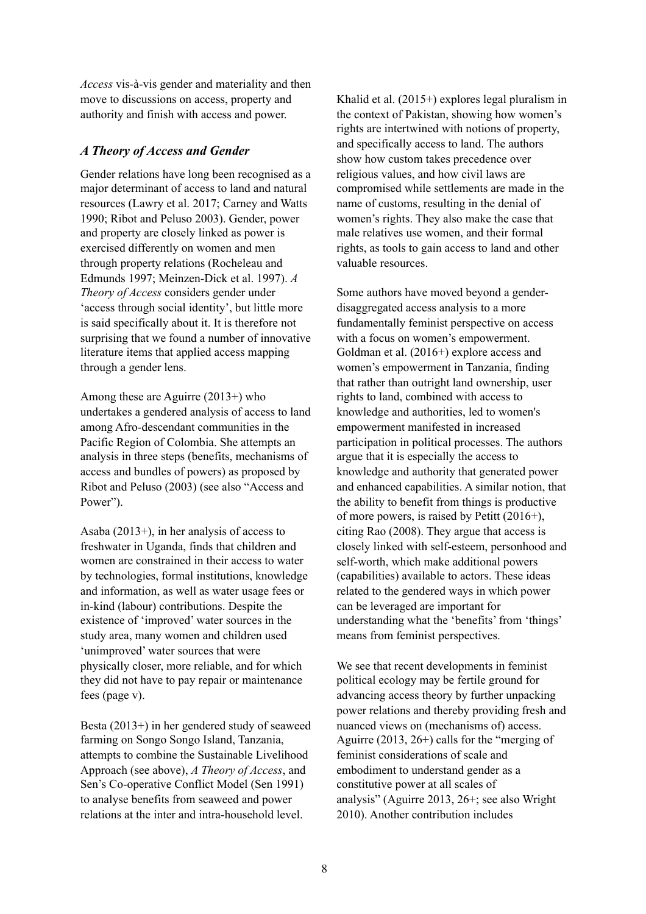*Access* vis-à-vis gender and materiality and then move to discussions on access, property and authority and finish with access and power.

## *A Theory of Access and Gender*

Gender relations have long been recognised as a major determinant of access to land and natural [resources \(Lawry et al. 2017; Carney and Watts](https://paperpile.com/c/mYXh9c/5d5Df+1o5g9+jxjiR)  [1990; Ribot and Peluso 2003\)](https://paperpile.com/c/mYXh9c/5d5Df+1o5g9+jxjiR). Gender, power and property are closely linked as power is exercised differently on women and men [through property relations \(Rocheleau and](https://paperpile.com/c/mYXh9c/855bP+PjiGp)  [Edmunds 1997; Meinzen-Dick et al. 1997\)](https://paperpile.com/c/mYXh9c/855bP+PjiGp). *A Theory of Access* considers gender under 'access through social identity', but little more is said specifically about it. It is therefore not surprising that we found a number of innovative literature items that applied access mapping through a gender lens.

Among these are Aguirre [\(2013+\)](https://paperpile.com/c/mYXh9c/RjLej/?suffix=%25252B&noauthor=1) who undertakes a gendered analysis of access to land among Afro-descendant communities in the Pacific Region of Colombia. She attempts an analysis in three steps (benefits, mechanisms of access and bundles of powers) as proposed by Ribot and Peluso (2003) (see also "Access and Power").

Asaba [\(2013+\),](https://paperpile.com/c/mYXh9c/8h6q3/?suffix=%25252B&noauthor=1) in her analysis of access to freshwater in Uganda, finds that children and women are constrained in their access to water by technologies, formal institutions, knowledge and information, as well as water usage fees or in-kind (labour) contributions. Despite the existence of 'improved' water sources in the study area, many women and children used 'unimproved' water sources that were physically closer, more reliable, and for which they did not have to pay repair or maintenance fees (page v).

Besta [\(2013+\)](https://paperpile.com/c/mYXh9c/UqpRg/?suffix=%25252B&noauthor=1) in her gendered study of seaweed farming on Songo Songo Island, Tanzania, attempts to combine the Sustainable Livelihood Approach (see above), *A Theory of Access*, and Sen's Co-operative Conflict Model (Sen 1991) to analyse benefits from seaweed and power relations at the inter and intra-household level.

Khalid et al. [\(2015+\)](https://paperpile.com/c/mYXh9c/uSlC8/?suffix=%25252B&noauthor=1) explores legal pluralism in the context of Pakistan, showing how women's rights are intertwined with notions of property, and specifically access to land. The authors show how custom takes precedence over religious values, and how civil laws are compromised while settlements are made in the name of customs, resulting in the denial of women's rights. They also make the case that male relatives use women, and their formal rights, as tools to gain access to land and other valuable resources.

Some authors have moved beyond a genderdisaggregated access analysis to a more fundamentally feminist perspective on access with a focus on women's empowerment. Goldman et al. [\(2016+\)](https://paperpile.com/c/mYXh9c/5ICsF/?suffix=%25252B&noauthor=1) explore access and women's empowerment in Tanzania, finding that rather than outright land ownership, user rights to land, combined with access to knowledge and authorities, led to women's empowerment manifested in increased participation in political processes. The authors argue that it is especially the access to knowledge and authority that generated power and enhanced capabilities. A similar notion, that the ability to benefit from things is productive of more powers, is raised by Petitt [\(2016+\),](https://paperpile.com/c/mYXh9c/3XLLT/?suffix=%25252B&noauthor=1) citing Rao [\(2008\)](https://paperpile.com/c/mYXh9c/wWTGV/?noauthor=1). They argue that access is closely linked with self-esteem, personhood and self-worth, which make additional powers (capabilities) available to actors. These ideas related to the gendered ways in which power can be leveraged are important for understanding what the 'benefits' from 'things' means from feminist perspectives.

We see that recent developments in feminist political ecology may be fertile ground for advancing access theory by further unpacking power relations and thereby providing fresh and nuanced views on (mechanisms of) access. Aguirre [\(2013, 26+\)](https://paperpile.com/c/mYXh9c/RjLej/?locator=26&suffix=%25252B&noauthor=1) calls for the "merging of feminist considerations of scale and embodiment to understand gender as a constitutive power at all scales of analysis" [\(Aguirre 2013, 26+; see also Wright](https://paperpile.com/c/mYXh9c/RjLej+FHWcx/?locator=26,&suffix=%25252B,&prefix=,see%252520also)  [2010\)](https://paperpile.com/c/mYXh9c/RjLej+FHWcx/?locator=26,&suffix=%25252B,&prefix=,see%252520also). Another contribution includes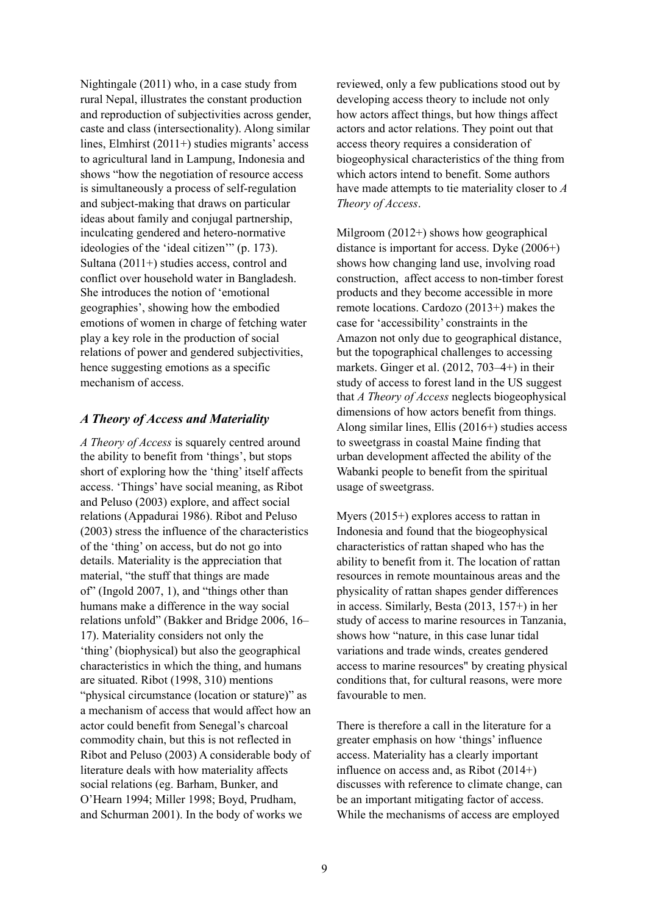Nightingale [\(2011\)](https://paperpile.com/c/mYXh9c/inW76/?noauthor=1) who, in a case study from rural Nepal, illustrates the constant production and reproduction of subjectivities across gender, caste and class (intersectionality). Along similar lines, Elmhirst [\(2011+\)](https://paperpile.com/c/mYXh9c/4I7yU/?suffix=%25252B&noauthor=1) studies migrants' access to agricultural land in Lampung, Indonesia and shows "how the negotiation of resource access is simultaneously a process of self-regulation and subject-making that draws on particular ideas about family and conjugal partnership, inculcating gendered and hetero-normative ideologies of the 'ideal citizen'" (p. 173). Sultana [\(2011+\)](https://paperpile.com/c/mYXh9c/BUeWq/?suffix=%25252B&noauthor=1) studies access, control and conflict over household water in Bangladesh. She introduces the notion of 'emotional geographies', showing how the embodied emotions of women in charge of fetching water play a key role in the production of social relations of power and gendered subjectivities, hence suggesting emotions as a specific mechanism of access.

## *A Theory of Access and Materiality*

*A Theory of Access* is squarely centred around the ability to benefit from 'things', but stops short of exploring how the 'thing' itself affects access. 'Things' have social meaning, as Ribot and Peluso (2003) explore, and affect social relations [\(Appadurai 1986\)](https://paperpile.com/c/mYXh9c/9O66j). Ribot and Peluso [\(2003\)](https://paperpile.com/c/mYXh9c/jxjiR/?noauthor=1) stress the influence of the characteristics of the 'thing' on access, but do not go into details. Materiality is the appreciation that material, "the stuff that things are made of" [\(Ingold 2007, 1\)](https://paperpile.com/c/mYXh9c/igN0t/?locator=1), and "things other than humans make a difference in the way social relations unfold" [\(Bakker and Bridge 2006, 16–](https://paperpile.com/c/mYXh9c/71OkQ/?locator=16-17) [17\)](https://paperpile.com/c/mYXh9c/71OkQ/?locator=16-17). Materiality considers not only the 'thing' (biophysical) but also the geographical characteristics in which the thing, and humans are situated. Ribot [\(1998, 310\)](https://paperpile.com/c/mYXh9c/6NFYX/?locator=310&noauthor=1) mentions "physical circumstance (location or stature)" as a mechanism of access that would affect how an actor could benefit from Senegal's charcoal commodity chain, but this is not reflected in Ribot and Peluso (2003) A considerable body of literature deals with how materiality affects social relations [\(eg. Barham, Bunker, and](https://paperpile.com/c/mYXh9c/OR82e+EOZ3T+BKq5z/?prefix=eg.,,)  [O'Hearn 1994; Miller 1998; Boyd, Prudham,](https://paperpile.com/c/mYXh9c/OR82e+EOZ3T+BKq5z/?prefix=eg.,,)  [and Schurman 2001\)](https://paperpile.com/c/mYXh9c/OR82e+EOZ3T+BKq5z/?prefix=eg.,,). In the body of works we

reviewed, only a few publications stood out by developing access theory to include not only how actors affect things, but how things affect actors and actor relations. They point out that access theory requires a consideration of biogeophysical characteristics of the thing from which actors intend to benefit. Some authors have made attempts to tie materiality closer to *A Theory of Access*.

Milgroom [\(2012+\)](https://paperpile.com/c/mYXh9c/3dBaD/?suffix=%25252B&noauthor=1) shows how geographical distance is important for access. Dyke [\(2006+\)](https://paperpile.com/c/mYXh9c/b3GK9/?suffix=%25252B&noauthor=1) shows how changing land use, involving road construction, affect access to non-timber forest products and they become accessible in more remote locations. Cardozo [\(2013+\)](https://paperpile.com/c/mYXh9c/Bg8TP/?suffix=%25252B&noauthor=1) makes the case for 'accessibility' constraints in the Amazon not only due to geographical distance, but the topographical challenges to accessing markets. Ginger et al. [\(2012, 703–4+\)](https://paperpile.com/c/mYXh9c/E02Nn/?locator=703-4&suffix=%25252B&noauthor=1) in their study of access to forest land in the US suggest that *A Theory of Access* neglects biogeophysical dimensions of how actors benefit from things. Along similar lines, Ellis [\(2016+\)](https://paperpile.com/c/mYXh9c/DVkHf/?suffix=%25252B&noauthor=1) studies access to sweetgrass in coastal Maine finding that urban development affected the ability of the Wabanki people to benefit from the spiritual usage of sweetgrass.

Myers [\(2015+\)](https://paperpile.com/c/mYXh9c/UyGbT/?suffix=%25252B&noauthor=1) explores access to rattan in Indonesia and found that the biogeophysical characteristics of rattan shaped who has the ability to benefit from it. The location of rattan resources in remote mountainous areas and the physicality of rattan shapes gender differences in access. Similarly, Besta [\(2013, 157+\)](https://paperpile.com/c/mYXh9c/UqpRg/?locator=157&suffix=%25252B&noauthor=1) in her study of access to marine resources in Tanzania, shows how "nature, in this case lunar tidal variations and trade winds, creates gendered access to marine resources" by creating physical conditions that, for cultural reasons, were more favourable to men.

There is therefore a call in the literature for a greater emphasis on how 'things' influence access. Materiality has a clearly important influence on access and, as Ribot [\(2014+\)](https://paperpile.com/c/mYXh9c/r132R/?suffix=%25252B&noauthor=1) discusses with reference to climate change, can be an important mitigating factor of access. While the mechanisms of access are employed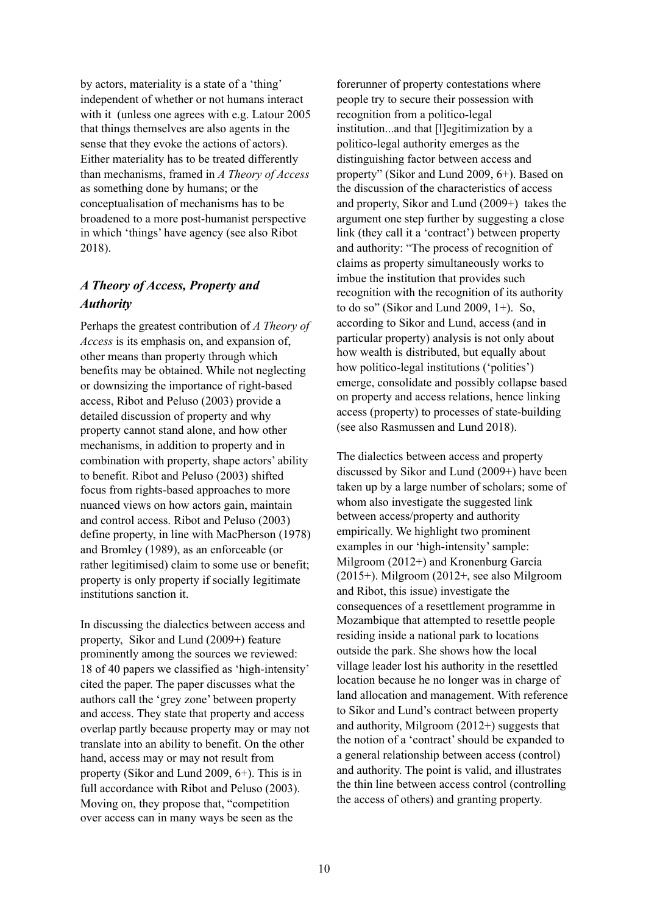by actors, materiality is a state of a 'thing' independent of whether or not humans interact [with it \(unless one agrees with e.g. Latour 2005](https://paperpile.com/c/mYXh9c/t8t1V/?prefix=unless%252520one%252520agrees%252520with%252520e.g.&suffix=that%252520things%252520themselves%252520are%252520also%252520agents%252520%252520in%252520the%252520sense%252520that%252520they%252520evoke%252520the%252520actions%252520of%252520actors)  [that things themselves are also agents in the](https://paperpile.com/c/mYXh9c/t8t1V/?prefix=unless%252520one%252520agrees%252520with%252520e.g.&suffix=that%252520things%252520themselves%252520are%252520also%252520agents%252520%252520in%252520the%252520sense%252520that%252520they%252520evoke%252520the%252520actions%252520of%252520actors)  [sense that they evoke the actions of actors\)](https://paperpile.com/c/mYXh9c/t8t1V/?prefix=unless%252520one%252520agrees%252520with%252520e.g.&suffix=that%252520things%252520themselves%252520are%252520also%252520agents%252520%252520in%252520the%252520sense%252520that%252520they%252520evoke%252520the%252520actions%252520of%252520actors). Either materiality has to be treated differently than mechanisms, framed in *A Theory of Access* as something done by humans; or the conceptualisation of mechanisms has to be broadened to a more post-humanist perspective in which 'things' have agency [\(see also Ribot](https://paperpile.com/c/mYXh9c/0nfc/?prefix=see%252520also)  [2018\)](https://paperpile.com/c/mYXh9c/0nfc/?prefix=see%252520also).

# *A Theory of Access, Property and Authority*

Perhaps the greatest contribution of *A Theory of Access* is its emphasis on, and expansion of, other means than property through which benefits may be obtained. While not neglecting or downsizing the importance of right-based access, Ribot and Peluso (2003) provide a detailed discussion of property and why property cannot stand alone, and how other mechanisms, in addition to property and in combination with property, shape actors' ability to benefit. Ribot and Peluso (2003) shifted focus from rights-based approaches to more nuanced views on how actors gain, maintain and control access. Ribot and Peluso (2003) define property, in line with MacPherson [\(1978\)](https://paperpile.com/c/mYXh9c/FpiMs/?noauthor=1) and Bromley [\(1989\)](https://paperpile.com/c/mYXh9c/Vsnf7/?noauthor=1), as an enforceable (or rather legitimised) claim to some use or benefit; property is only property if socially legitimate institutions sanction it.

In discussing the dialectics between access and property, Sikor and Lund [\(2009+\)](https://paperpile.com/c/mYXh9c/IfvDM/?suffix=%25252B&noauthor=1) feature prominently among the sources we reviewed: 18 of 40 papers we classified as 'high-intensity' cited the paper. The paper discusses what the authors call the 'grey zone' between property and access. They state that property and access overlap partly because property may or may not translate into an ability to benefit. On the other hand, access may or may not result from property [\(Sikor and Lund 2009, 6+\).](https://paperpile.com/c/mYXh9c/IfvDM/?locator=6&suffix=%25252B) This is in full accordance with Ribot and Peluso (2003). Moving on, they propose that, "competition over access can in many ways be seen as the

forerunner of property contestations where people try to secure their possession with recognition from a politico-legal institution...and that [l]egitimization by a politico-legal authority emerges as the distinguishing factor between access and property" [\(Sikor and Lund 2009, 6+\)](https://paperpile.com/c/mYXh9c/IfvDM/?locator=6&suffix=%25252B). Based on the discussion of the characteristics of access and property, Sikor and Lund [\(2009+\)](https://paperpile.com/c/mYXh9c/IfvDM/?suffix=%25252B&noauthor=1) takes the argument one step further by suggesting a close link (they call it a 'contract') between property and authority: "The process of recognition of claims as property simultaneously works to imbue the institution that provides such recognition with the recognition of its authority to do so" (Sikor and Lund 2009,  $1+$ ). So, according to Sikor and Lund, access (and in particular property) analysis is not only about how wealth is distributed, but equally about how politico-legal institutions ('polities') emerge, consolidate and possibly collapse based on property and access relations, hence linking access (property) to processes of state-building [\(see also Rasmussen and Lund 2018\)](https://paperpile.com/c/mYXh9c/KwMO/?prefix=see%252520also).

The dialectics between access and property discussed by Sikor and Lund [\(2009+\)](https://paperpile.com/c/mYXh9c/IfvDM/?suffix=%25252B&noauthor=1) have been taken up by a large number of scholars; some of whom also investigate the suggested link between access/property and authority empirically. We highlight two prominent examples in our 'high-intensity' sample: Milgroom (2012+) and Kronenburg García [\(2015+\)](https://paperpile.com/c/mYXh9c/HUtR0/?suffix=%25252B&noauthor=1). Milgroom [\(2012+, see also Milgroom](https://paperpile.com/c/mYXh9c/3dBaD/?suffix=%25252B%25252C%252520see%252520also%252520this%252520issue&noauthor=1)  [and Ribot, this issue\)](https://paperpile.com/c/mYXh9c/3dBaD/?suffix=%25252B%25252C%252520see%252520also%252520this%252520issue&noauthor=1) investigate the consequences of a resettlement programme in Mozambique that attempted to resettle people residing inside a national park to locations outside the park. She shows how the local village leader lost his authority in the resettled location because he no longer was in charge of land allocation and management. With reference to Sikor and Lund's contract between property and authority, Milgroom (2012+) suggests that the notion of a 'contract' should be expanded to a general relationship between access (control) and authority. The point is valid, and illustrates the thin line between access control (controlling the access of others) and granting property.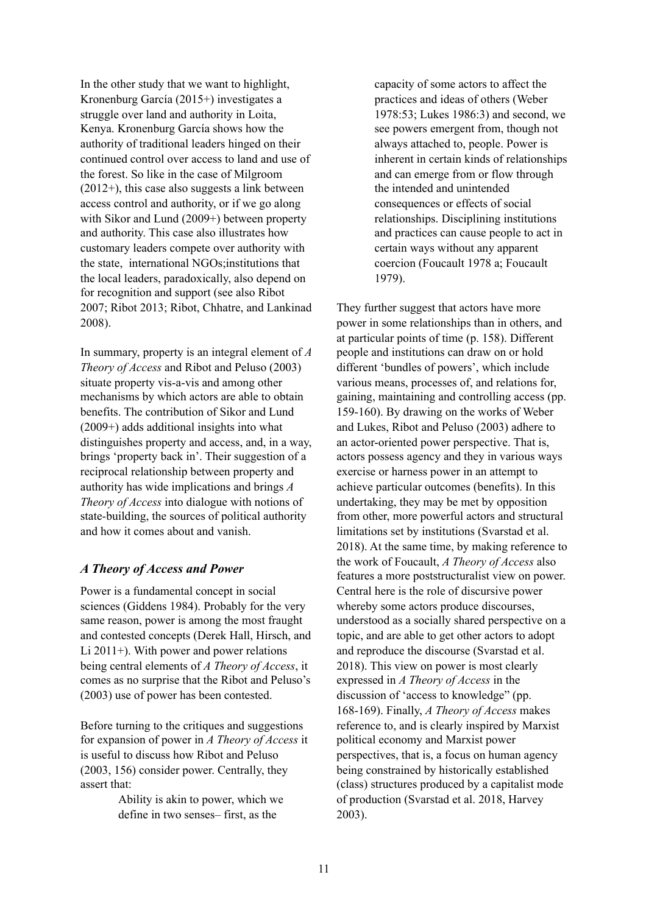In the other study that we want to highlight, Kronenburg García [\(2015+\)](https://paperpile.com/c/mYXh9c/HUtR0/?suffix=%25252B&noauthor=1) investigates a struggle over land and authority in Loita, Kenya. Kronenburg García shows how the authority of traditional leaders hinged on their continued control over access to land and use of the forest. So like in the case of Milgroom (2012+), this case also suggests a link between access control and authority, or if we go along with Sikor and Lund [\(2009+\)](https://paperpile.com/c/mYXh9c/IfvDM/?suffix=%25252B&noauthor=1) between property and authority. This case also illustrates how customary leaders compete over authority with the state, international NGOs;institutions that the local leaders, paradoxically, also depend on for recognition and support [\(see also Ribot](https://paperpile.com/c/mYXh9c/qtVn+RXZU+5ziY/?prefix=see%252520also,,)  [2007; Ribot 2013; Ribot, Chhatre, and Lankinad](https://paperpile.com/c/mYXh9c/qtVn+RXZU+5ziY/?prefix=see%252520also,,)  [2008\)](https://paperpile.com/c/mYXh9c/qtVn+RXZU+5ziY/?prefix=see%252520also,,).

In summary, property is an integral element of *A Theory of Access* and Ribot and Peluso (2003) situate property vis-a-vis and among other mechanisms by which actors are able to obtain benefits. The contribution of Sikor and Lund [\(2009+\)](https://paperpile.com/c/mYXh9c/IfvDM/?suffix=%25252B&noauthor=1) adds additional insights into what distinguishes property and access, and, in a way, brings 'property back in'. Their suggestion of a reciprocal relationship between property and authority has wide implications and brings *A Theory of Access* into dialogue with notions of state-building, the sources of political authority and how it comes about and vanish.

# *A Theory of Access and Power*

Power is a fundamental concept in social sciences [\(Giddens 1984\)](https://paperpile.com/c/mYXh9c/bTKNI). Probably for the very same reason, power is among the most fraught and contested concepts [\(Derek Hall, Hirsch, and](https://paperpile.com/c/mYXh9c/ilwSB/?suffix=%25252B)  [Li 2011+\).](https://paperpile.com/c/mYXh9c/ilwSB/?suffix=%25252B) With power and power relations being central elements of *A Theory of Access*, it comes as no surprise that the Ribot and Peluso's (2003) use of power has been contested.

Before turning to the critiques and suggestions for expansion of power in *A Theory of Access* it is useful to discuss how Ribot and Peluso [\(2003, 156\)](https://paperpile.com/c/mYXh9c/jxjiR/?locator=156&noauthor=1) consider power. Centrally, they assert that:

> Ability is akin to power, which we define in two senses– first, as the

capacity of some actors to affect the practices and ideas of others [\(Weber](https://paperpile.com/c/mYXh9c/SBumg+JIerj/?suffix=%25253A53,%25253A3)  [1978:53; Lukes 1986:3\)](https://paperpile.com/c/mYXh9c/SBumg+JIerj/?suffix=%25253A53,%25253A3) and second, we see powers emergent from, though not always attached to, people. Power is inherent in certain kinds of relationships and can emerge from or flow through the intended and unintended consequences or effects of social relationships. Disciplining institutions and practices can cause people to act in certain ways without any apparent coercion [\(Foucault 1978 a; Foucault](https://paperpile.com/c/mYXh9c/q96vS+7wAsY/?suffix=a,)  [1979\).](https://paperpile.com/c/mYXh9c/q96vS+7wAsY/?suffix=a,)

They further suggest that actors have more power in some relationships than in others, and at particular points of time (p. 158). Different people and institutions can draw on or hold different 'bundles of powers', which include various means, processes of, and relations for, gaining, maintaining and controlling access (pp. 159-160). By drawing on the works of Weber and Lukes, Ribot and Peluso (2003) adhere to an actor-oriented power perspective. That is, actors possess agency and they in various ways exercise or harness power in an attempt to achieve particular outcomes (benefits). In this undertaking, they may be met by opposition from other, more powerful actors and structural limitations set by institutions (Svarstad et al. 2018). At the same time, by making reference to the work of Foucault, *A Theory of Access* also features a more poststructuralist view on power. Central here is the role of discursive power whereby some actors produce discourses, understood as a socially shared perspective on a topic, and are able to get other actors to adopt and reproduce the discourse (Svarstad et al. 2018). This view on power is most clearly expressed in *A Theory of Access* in the discussion of 'access to knowledge" (pp. 168-169). Finally, *A Theory of Access* makes reference to, and is clearly inspired by Marxist political economy and Marxist power perspectives, that is, a focus on human agency being constrained by historically established (class) structures produced by a capitalist mode of production (Svarstad et al. 2018, Harvey 2003).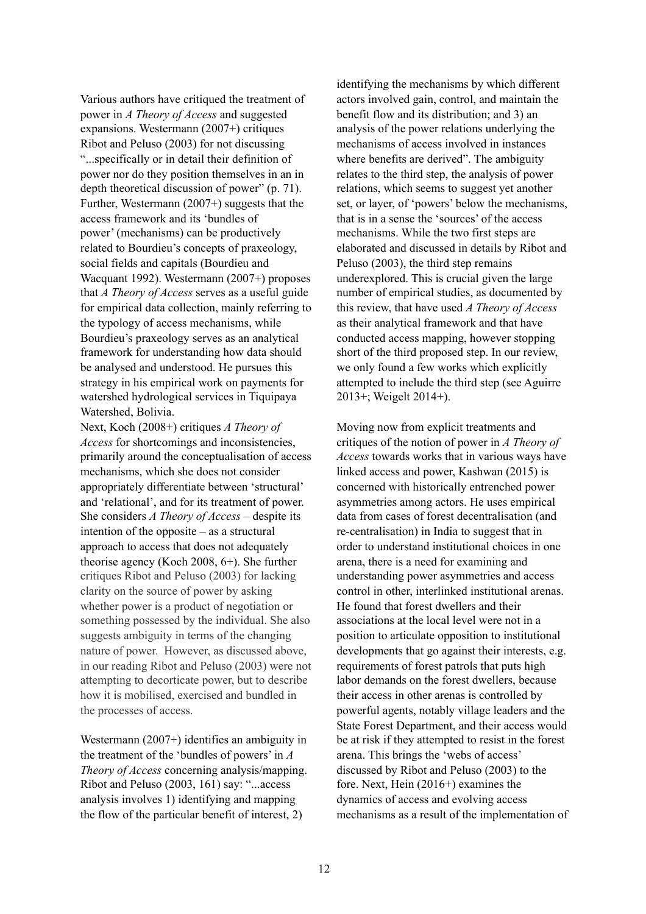Various authors have critiqued the treatment of power in *A Theory of Access* and suggested expansions. Westermann [\(2007+\)](https://paperpile.com/c/mYXh9c/yCSfo/?suffix=%25252B&noauthor=1) critiques Ribot and Peluso (2003) for not discussing "...specifically or in detail their definition of power nor do they position themselves in an in depth theoretical discussion of power" (p. 71). Further, Westermann [\(2007+\)](https://paperpile.com/c/mYXh9c/yCSfo/?suffix=%25252B&noauthor=1) suggests that the access framework and its 'bundles of power' (mechanisms) can be productively related to Bourdieu's concepts of praxeology, social fields and capitals [\(Bourdieu and](https://paperpile.com/c/mYXh9c/oyygP)  [Wacquant 1992\)](https://paperpile.com/c/mYXh9c/oyygP). Westermann [\(2007+\)](https://paperpile.com/c/mYXh9c/yCSfo/?suffix=%25252B&noauthor=1) proposes that *A Theory of Access* serves as a useful guide for empirical data collection, mainly referring to the typology of access mechanisms, while Bourdieu's praxeology serves as an analytical framework for understanding how data should be analysed and understood. He pursues this strategy in his empirical work on payments for watershed hydrological services in Tiquipaya Watershed, Bolivia.

Next, Koch [\(2008+\)](https://paperpile.com/c/mYXh9c/kzRXq/?suffix=%25252B&noauthor=1) critiques *A Theory of Access* for shortcomings and inconsistencies, primarily around the conceptualisation of access mechanisms, which she does not consider appropriately differentiate between 'structural' and 'relational', and for its treatment of power. She considers *A Theory of Access* – despite its intention of the opposite – as a structural approach to access that does not adequately theorise agency [\(Koch 2008, 6+\)](https://paperpile.com/c/mYXh9c/kzRXq/?locator=6&suffix=%25252B). She further critiques Ribot and Peluso (2003) for lacking clarity on the source of power by asking whether power is a product of negotiation or something possessed by the individual. She also suggests ambiguity in terms of the changing nature of power. However, as discussed above, in our reading Ribot and Peluso (2003) were not attempting to decorticate power, but to describe how it is mobilised, exercised and bundled in the processes of access.

Westermann [\(2007+\)](https://paperpile.com/c/mYXh9c/yCSfo/?suffix=%25252B&noauthor=1) identifies an ambiguity in the treatment of the 'bundles of powers' in *A Theory of Access* concerning analysis/mapping. Ribot and Peluso (2003, 161) say: "...access analysis involves 1) identifying and mapping the flow of the particular benefit of interest, 2)

identifying the mechanisms by which different actors involved gain, control, and maintain the benefit flow and its distribution; and 3) an analysis of the power relations underlying the mechanisms of access involved in instances where benefits are derived". The ambiguity relates to the third step, the analysis of power relations, which seems to suggest yet another set, or layer, of 'powers' below the mechanisms, that is in a sense the 'sources' of the access mechanisms. While the two first steps are elaborated and discussed in details by Ribot and Peluso (2003), the third step remains underexplored. This is crucial given the large number of empirical studies, as documented by this review, that have used *A Theory of Access*  as their analytical framework and that have conducted access mapping, however stopping short of the third proposed step. In our review, we only found a few works which explicitly attempted to include the third step [\(see Aguirre](https://paperpile.com/c/mYXh9c/RjLej+pgMnc/?prefix=see,&suffix=%25252B,%25252B)  [2013+; Weigelt 2014+\)](https://paperpile.com/c/mYXh9c/RjLej+pgMnc/?prefix=see,&suffix=%25252B,%25252B).

Moving now from explicit treatments and critiques of the notion of power in *A Theory of Access* towards works that in various ways have linked access and power, Kashwan [\(2015\)](https://paperpile.com/c/mYXh9c/QLETM/?noauthor=1) is concerned with historically entrenched power asymmetries among actors. He uses empirical data from cases of forest decentralisation (and re-centralisation) in India to suggest that in order to understand institutional choices in one arena, there is a need for examining and understanding power asymmetries and access control in other, interlinked institutional arenas. He found that forest dwellers and their associations at the local level were not in a position to articulate opposition to institutional developments that go against their interests, e.g. requirements of forest patrols that puts high labor demands on the forest dwellers, because their access in other arenas is controlled by powerful agents, notably village leaders and the State Forest Department, and their access would be at risk if they attempted to resist in the forest arena. This brings the 'webs of access' discussed by Ribot and Peluso (2003) to the fore. Next, Hein [\(2016+\)](https://paperpile.com/c/mYXh9c/6F4a1/?suffix=%25252B&noauthor=1) examines the dynamics of access and evolving access mechanisms as a result of the implementation of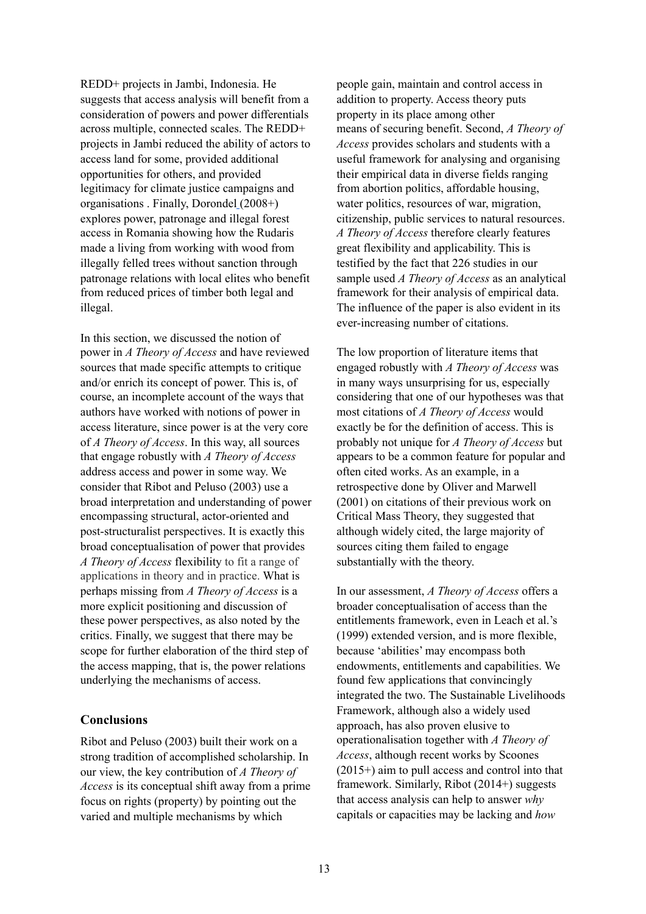REDD+ projects in Jambi, Indonesia. He suggests that access analysis will benefit from a consideration of powers and power differentials across multiple, connected scales. The REDD+ projects in Jambi reduced the ability of actors to access land for some, provided additional opportunities for others, and provided legitimacy for climate justice campaigns and organisations . Finally, Dorondel [\(2008+\)](https://paperpile.com/c/mYXh9c/CVAMG/?suffix=%25252B&noauthor=1) explores power, patronage and illegal forest access in Romania showing how the Rudaris made a living from working with wood from illegally felled trees without sanction through patronage relations with local elites who benefit from reduced prices of timber both legal and illegal.

In this section, we discussed the notion of power in *A Theory of Access* and have reviewed sources that made specific attempts to critique and/or enrich its concept of power. This is, of course, an incomplete account of the ways that authors have worked with notions of power in access literature, since power is at the very core of *A Theory of Access*. In this way, all sources that engage robustly with *A Theory of Access* address access and power in some way. We consider that Ribot and Peluso (2003) use a broad interpretation and understanding of power encompassing structural, actor-oriented and post-structuralist perspectives. It is exactly this broad conceptualisation of power that provides *A Theory of Access* flexibility to fit a range of applications in theory and in practice. What is perhaps missing from *A Theory of Access* is a more explicit positioning and discussion of these power perspectives, as also noted by the critics. Finally, we suggest that there may be scope for further elaboration of the third step of the access mapping, that is, the power relations underlying the mechanisms of access.

## **Conclusions**

Ribot and Peluso [\(2003\)](https://paperpile.com/c/mYXh9c/jxjiR/?noauthor=1) built their work on a strong tradition of accomplished scholarship. In our view, the key contribution of *A Theory of Access* is its conceptual shift away from a prime focus on rights (property) by pointing out the varied and multiple mechanisms by which

people gain, maintain and control access in addition to property. Access theory puts property in its place among other means of securing benefit. Second, *A Theory of Access* provides scholars and students with a useful framework for analysing and organising their empirical data in diverse fields ranging from abortion politics, affordable housing, water politics, resources of war, migration, citizenship, public services to natural resources. *A Theory of Access* therefore clearly features great flexibility and applicability. This is testified by the fact that 226 studies in our sample used *A Theory of Access* as an analytical framework for their analysis of empirical data. The influence of the paper is also evident in its ever-increasing number of citations.

The low proportion of literature items that engaged robustly with *A Theory of Access* was in many ways unsurprising for us, especially considering that one of our hypotheses was that most citations of *A Theory of Access* would exactly be for the definition of access. This is probably not unique for *A Theory of Access* but appears to be a common feature for popular and often cited works. As an example, in a retrospective done by Oliver and Marwell [\(2001\)](https://paperpile.com/c/mYXh9c/3uiil/?noauthor=1) on citations of their previous work on Critical Mass Theory, they suggested that although widely cited, the large majority of sources citing them failed to engage substantially with the theory.

In our assessment, *A Theory of Access* offers a broader conceptualisation of access than the entitlements framework, even in Leach et al.'s (1999) extended version, and is more flexible, because 'abilities' may encompass both endowments, entitlements and capabilities. We found few applications that convincingly integrated the two. The Sustainable Livelihoods Framework, although also a widely used approach, has also proven elusive to operationalisation together with *A Theory of Access*, although recent works by Scoones [\(2015+\)](https://paperpile.com/c/mYXh9c/TcOlX/?suffix=%25252B&noauthor=1) aim to pull access and control into that framework. Similarly, Ribot [\(2014+\)](https://paperpile.com/c/mYXh9c/r132R/?suffix=%25252B&noauthor=1) suggests that access analysis can help to answer *why* capitals or capacities may be lacking and *how*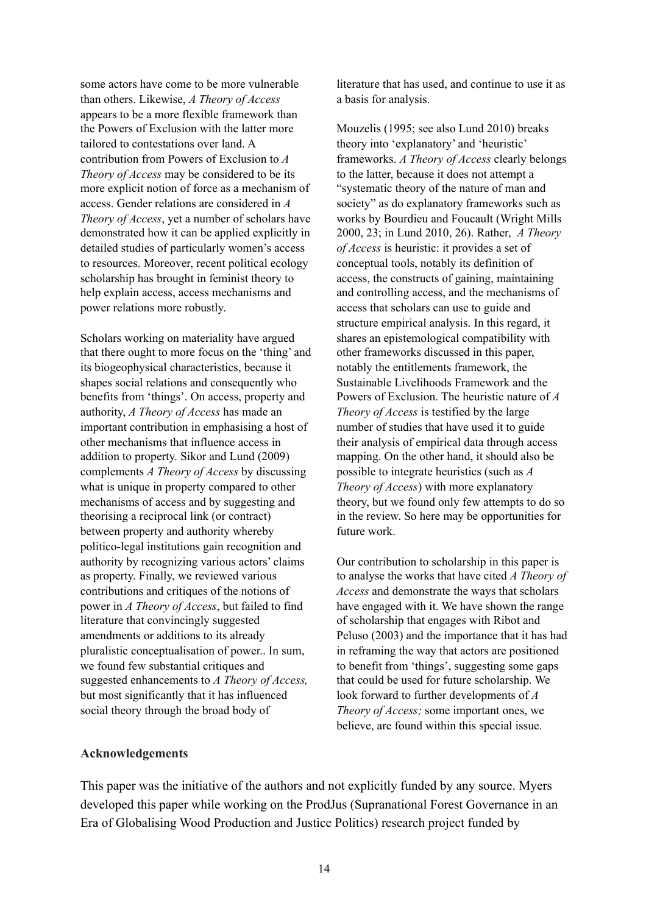some actors have come to be more vulnerable than others. Likewise, *A Theory of Access* appears to be a more flexible framework than the Powers of Exclusion with the latter more tailored to contestations over land. A contribution from Powers of Exclusion to *A Theory of Access* may be considered to be its more explicit notion of force as a mechanism of access. Gender relations are considered in *A Theory of Access*, yet a number of scholars have demonstrated how it can be applied explicitly in detailed studies of particularly women's access to resources. Moreover, recent political ecology scholarship has brought in feminist theory to help explain access, access mechanisms and power relations more robustly.

Scholars working on materiality have argued that there ought to more focus on the 'thing' and its biogeophysical characteristics, because it shapes social relations and consequently who benefits from 'things'. On access, property and authority, *A Theory of Access* has made an important contribution in emphasising a host of other mechanisms that influence access in addition to property. Sikor and Lund [\(2009\)](https://paperpile.com/c/mYXh9c/IfvDM/?noauthor=1) complements *A Theory of Access* by discussing what is unique in property compared to other mechanisms of access and by suggesting and theorising a reciprocal link (or contract) between property and authority whereby politico-legal institutions gain recognition and authority by recognizing various actors' claims as property. Finally, we reviewed various contributions and critiques of the notions of power in *A Theory of Access*, but failed to find literature that convincingly suggested amendments or additions to its already pluralistic conceptualisation of power.. In sum, we found few substantial critiques and suggested enhancements to *A Theory of Access,* but most significantly that it has influenced social theory through the broad body of

literature that has used, and continue to use it as a basis for analysis.

Mouzelis [\(1995; see also Lund 2010\)](https://paperpile.com/c/mYXh9c/f3Oeg+YSjBb/?noauthor=1,0&prefix=,see%252520also) breaks theory into 'explanatory' and 'heuristic' frameworks. *A Theory of Access* clearly belongs to the latter, because it does not attempt a "systematic theory of the nature of man and society" as do explanatory frameworks such as works by Bourdieu and Foucault [\(Wright Mills](https://paperpile.com/c/mYXh9c/EK66c+YSjBb/?locator=23,26&prefix=,in)  [2000, 23; in Lund 2010, 26\)](https://paperpile.com/c/mYXh9c/EK66c+YSjBb/?locator=23,26&prefix=,in). Rather, *A Theory of Access* is heuristic: it provides a set of conceptual tools, notably its definition of access, the constructs of gaining, maintaining and controlling access, and the mechanisms of access that scholars can use to guide and structure empirical analysis. In this regard, it shares an epistemological compatibility with other frameworks discussed in this paper, notably the entitlements framework, the Sustainable Livelihoods Framework and the Powers of Exclusion. The heuristic nature of *A Theory of Access* is testified by the large number of studies that have used it to guide their analysis of empirical data through access mapping. On the other hand, it should also be possible to integrate heuristics (such as *A Theory of Access*) with more explanatory theory, but we found only few attempts to do so in the review. So here may be opportunities for future work.

Our contribution to scholarship in this paper is to analyse the works that have cited *A Theory of Access* and demonstrate the ways that scholars have engaged with it. We have shown the range of scholarship that engages with Ribot and Peluso (2003) and the importance that it has had in reframing the way that actors are positioned to benefit from 'things', suggesting some gaps that could be used for future scholarship. We look forward to further developments of *A Theory of Access;* some important ones, we believe, are found within this special issue.

#### **Acknowledgements**

This paper was the initiative of the authors and not explicitly funded by any source. Myers developed this paper while working on the ProdJus (Supranational Forest Governance in an Era of Globalising Wood Production and Justice Politics) research project funded by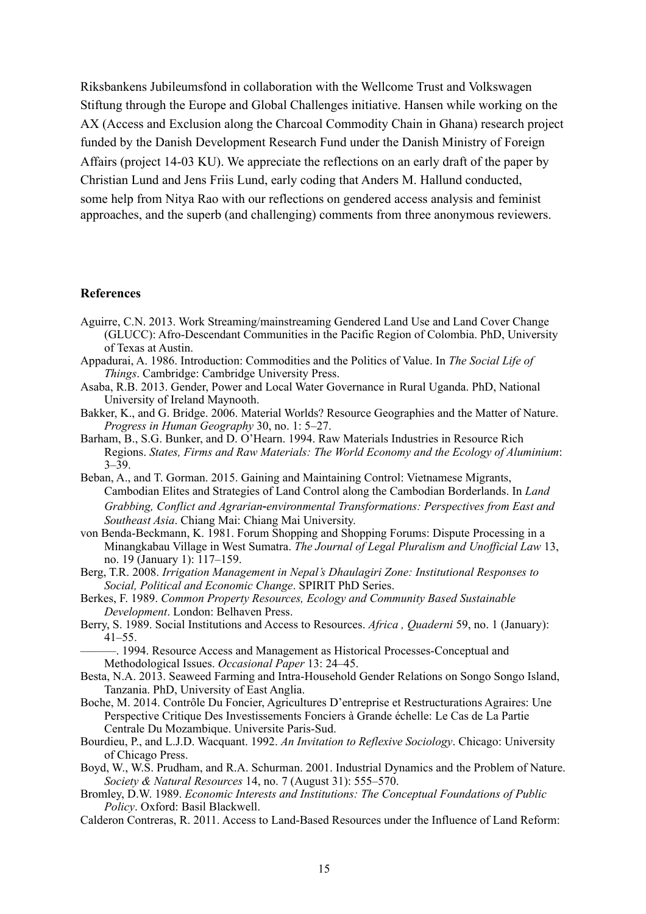Riksbankens Jubileumsfond in collaboration with the Wellcome Trust and Volkswagen Stiftung through the Europe and Global Challenges initiative. Hansen while working on the AX (Access and Exclusion along the Charcoal Commodity Chain in Ghana) research project funded by the Danish Development Research Fund under the Danish Ministry of Foreign Affairs (project 14-03 KU). We appreciate the reflections on an early draft of the paper by Christian Lund and Jens Friis Lund, early coding that Anders M. Hallund conducted, some help from Nitya Rao with our reflections on gendered access analysis and feminist approaches, and the superb (and challenging) comments from three anonymous reviewers.

### **References**

- [Aguirre, C.N. 2013. Work Streaming/mainstreaming Gendered Land Use and Land Cover Change](http://paperpile.com/b/mYXh9c/RjLej)  [\(GLUCC\): Afro-Descendant Communities in the Pacific Region of Colombia. PhD, University](http://paperpile.com/b/mYXh9c/RjLej)  [of Texas at Austin.](http://paperpile.com/b/mYXh9c/RjLej)
- [Appadurai, A. 1986. Introduction: Commodities and the Politics of Value. In](http://paperpile.com/b/mYXh9c/9O66j) *[The Social Life of](http://paperpile.com/b/mYXh9c/9O66j)  [Things](http://paperpile.com/b/mYXh9c/9O66j)*[. Cambridge: Cambridge University Press.](http://paperpile.com/b/mYXh9c/9O66j)
- [Asaba, R.B. 2013. Gender, Power and Local Water Governance in Rural Uganda. PhD, National](http://paperpile.com/b/mYXh9c/8h6q3)  [University of Ireland Maynooth.](http://paperpile.com/b/mYXh9c/8h6q3)
- Bakker, K., and G. Bridge. 2006. Material Worlds? Resource Geographies and the Matter of Nature. *[Progress in Human Geography](http://paperpile.com/b/mYXh9c/71OkQ)* [30, no. 1: 5–27.](http://paperpile.com/b/mYXh9c/71OkQ)
- [Barham, B., S.G. Bunker, and D. O'Hearn. 1994. Raw Materials Industries in Resource Rich](http://paperpile.com/b/mYXh9c/OR82e)  [Regions.](http://paperpile.com/b/mYXh9c/OR82e) *[States, Firms and Raw Materials: The World Economy and the Ecology of Aluminium](http://paperpile.com/b/mYXh9c/OR82e)*[:](http://paperpile.com/b/mYXh9c/OR82e)  [3–39.](http://paperpile.com/b/mYXh9c/OR82e)
- [Beban, A., and T. Gorman. 2015. Gaining and Maintaining Control: Vietnamese Migrants,](http://paperpile.com/b/mYXh9c/8V91Y)  [Cambodian Elites and Strategies of Land Control along the Cambodian Borderlands. In](http://paperpile.com/b/mYXh9c/8V91Y) *[Land](http://paperpile.com/b/mYXh9c/8V91Y)  Grabbing, Conflict and Agrarian*‐*[environmental Transformations: Perspectives from East and](http://paperpile.com/b/mYXh9c/8V91Y)  [Southeast Asia](http://paperpile.com/b/mYXh9c/8V91Y)*[. Chiang Mai: Chiang Mai University.](http://paperpile.com/b/mYXh9c/8V91Y)
- [von Benda-Beckmann, K. 1981. Forum Shopping and Shopping Forums: Dispute Processing in a](http://paperpile.com/b/mYXh9c/MLoOG)  [Minangkabau Village in West Sumatra.](http://paperpile.com/b/mYXh9c/MLoOG) *[The Journal of Legal Pluralism and Unofficial Law](http://paperpile.com/b/mYXh9c/MLoOG)* [13,](http://paperpile.com/b/mYXh9c/MLoOG)  [no. 19 \(January 1\): 117–159.](http://paperpile.com/b/mYXh9c/MLoOG)
- [Berg, T.R. 2008.](http://paperpile.com/b/mYXh9c/vyo89) *[Irrigation Management in Nepal's Dhaulagiri Zone: Institutional Responses to](http://paperpile.com/b/mYXh9c/vyo89)  [Social, Political and Economic Change](http://paperpile.com/b/mYXh9c/vyo89)*[. SPIRIT PhD Series.](http://paperpile.com/b/mYXh9c/vyo89)
- [Berkes, F. 1989.](http://paperpile.com/b/mYXh9c/JMnUw) *[Common Property Resources, Ecology and Community Based Sustainable](http://paperpile.com/b/mYXh9c/JMnUw)  [Development](http://paperpile.com/b/mYXh9c/JMnUw)*[. London: Belhaven Press.](http://paperpile.com/b/mYXh9c/JMnUw)
- [Berry, S. 1989. Social Institutions and Access to Resources.](http://paperpile.com/b/mYXh9c/OrRq0) *[Africa , Quaderni](http://paperpile.com/b/mYXh9c/OrRq0)* [59, no. 1 \(January\):](http://paperpile.com/b/mYXh9c/OrRq0)   $41 - 55$
- [———. 1994. Resource Access and Management as Historical Processes-Conceptual and](http://paperpile.com/b/mYXh9c/B1xa3)  [Methodological Issues.](http://paperpile.com/b/mYXh9c/B1xa3) *[Occasional Paper](http://paperpile.com/b/mYXh9c/B1xa3)* [13: 24–45.](http://paperpile.com/b/mYXh9c/B1xa3)
- [Besta, N.A. 2013. Seaweed Farming and Intra-Household Gender Relations on Songo Songo Island,](http://paperpile.com/b/mYXh9c/UqpRg)  [Tanzania. PhD, University of East Anglia.](http://paperpile.com/b/mYXh9c/UqpRg)
- Boche, M. 2014. Contrôle Du Foncier, Agricultures D'entreprise et Restructurations Agraires: Une Perspective Critique Des Investissements Fonciers à Grande échelle: Le Cas de La Partie Centrale Du Mozambique. Universite Paris-Sud.
- [Bourdieu, P., and L.J.D. Wacquant. 1992.](http://paperpile.com/b/mYXh9c/oyygP) *[An Invitation to Reflexive Sociology](http://paperpile.com/b/mYXh9c/oyygP)*[. Chicago: University](http://paperpile.com/b/mYXh9c/oyygP)  [of Chicago Press.](http://paperpile.com/b/mYXh9c/oyygP)
- [Boyd, W., W.S. Prudham, and R.A. Schurman. 2001. Industrial Dynamics and the Problem of Nature.](http://paperpile.com/b/mYXh9c/BKq5z)  *[Society & Natural Resources](http://paperpile.com/b/mYXh9c/BKq5z)* [14, no. 7 \(August 31\): 555–570.](http://paperpile.com/b/mYXh9c/BKq5z)
- [Bromley, D.W. 1989.](http://paperpile.com/b/mYXh9c/Vsnf7) *[Economic Interests and Institutions: The Conceptual Foundations of Public](http://paperpile.com/b/mYXh9c/Vsnf7)  [Policy](http://paperpile.com/b/mYXh9c/Vsnf7)*[. Oxford: Basil Blackwell.](http://paperpile.com/b/mYXh9c/Vsnf7)
- [Calderon Contreras, R. 2011. Access to Land-Based Resources under the Influence of Land Reform:](http://paperpile.com/b/mYXh9c/BTZ37)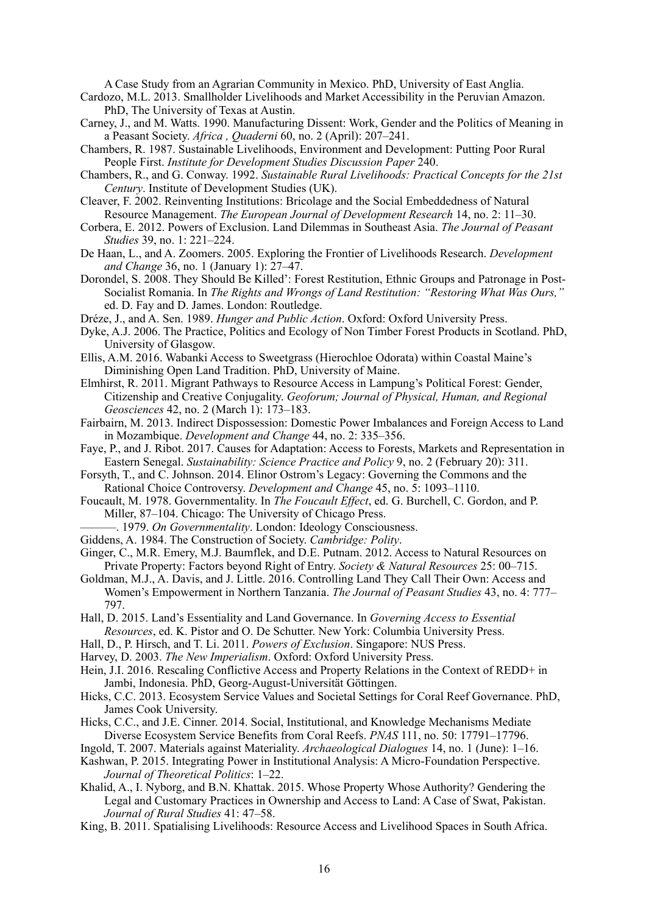[A Case Study from an Agrarian Community in Mexico. PhD, University of East Anglia.](http://paperpile.com/b/mYXh9c/BTZ37) 

- [Cardozo, M.L. 2013. Smallholder Livelihoods and Market Accessibility in the Peruvian Amazon.](http://paperpile.com/b/mYXh9c/Bg8TP)  [PhD, The University of Texas at Austin.](http://paperpile.com/b/mYXh9c/Bg8TP)
- [Carney, J., and M. Watts. 1990. Manufacturing Dissent: Work, Gender and the Politics of Meaning in](http://paperpile.com/b/mYXh9c/1o5g9)  [a Peasant Society.](http://paperpile.com/b/mYXh9c/1o5g9) *[Africa , Quaderni](http://paperpile.com/b/mYXh9c/1o5g9)* [60, no. 2 \(April\): 207–241.](http://paperpile.com/b/mYXh9c/1o5g9)
- [Chambers, R. 1987. Sustainable Livelihoods, Environment and Development: Putting Poor Rural](http://paperpile.com/b/mYXh9c/11tpx)  [People First.](http://paperpile.com/b/mYXh9c/11tpx) *[Institute for Development Studies Discussion Paper](http://paperpile.com/b/mYXh9c/11tpx)* [240.](http://paperpile.com/b/mYXh9c/11tpx)
- [Chambers, R., and G. Conway. 1992.](http://paperpile.com/b/mYXh9c/64nUH) *[Sustainable Rural Livelihoods: Practical Concepts for the 21st](http://paperpile.com/b/mYXh9c/64nUH)  [Century](http://paperpile.com/b/mYXh9c/64nUH)*[. Institute of Development Studies \(UK\).](http://paperpile.com/b/mYXh9c/64nUH)
- [Cleaver, F. 2002. Reinventing Institutions: Bricolage and the Social Embeddedness of Natural](http://paperpile.com/b/mYXh9c/C73wb)  [Resource Management.](http://paperpile.com/b/mYXh9c/C73wb) *[The European Journal of Development Research](http://paperpile.com/b/mYXh9c/C73wb)* [14, no. 2: 11–30.](http://paperpile.com/b/mYXh9c/C73wb)
- [Corbera, E. 2012. Powers of Exclusion. Land Dilemmas in Southeast Asia.](http://paperpile.com/b/mYXh9c/0vT3g) *[The Journal of Peasant](http://paperpile.com/b/mYXh9c/0vT3g)  [Studies](http://paperpile.com/b/mYXh9c/0vT3g)* [39, no. 1: 221–224.](http://paperpile.com/b/mYXh9c/0vT3g)
- [De Haan, L., and A. Zoomers. 2005. Exploring the Frontier of Livelihoods Research.](http://paperpile.com/b/mYXh9c/m5Unq) *[Development](http://paperpile.com/b/mYXh9c/m5Unq)  [and Change](http://paperpile.com/b/mYXh9c/m5Unq)* [36, no. 1 \(January 1\): 27–47.](http://paperpile.com/b/mYXh9c/m5Unq)
- [Dorondel, S. 2008. They Should Be Killed': Forest Restitution, Ethnic Groups and Patronage in Post-](http://paperpile.com/b/mYXh9c/CVAMG)[Socialist Romania. In](http://paperpile.com/b/mYXh9c/CVAMG) *[The Rights and Wrongs of Land Restitution: "Restoring What Was Ours,"](http://paperpile.com/b/mYXh9c/CVAMG)* [ed. D. Fay and D. James. London: Routledge.](http://paperpile.com/b/mYXh9c/CVAMG)
- [Dréze, J., and A. Sen. 1989.](http://paperpile.com/b/mYXh9c/koOoP) *[Hunger and Public Action](http://paperpile.com/b/mYXh9c/koOoP)*[. Oxford: Oxford University Press.](http://paperpile.com/b/mYXh9c/koOoP)
- [Dyke, A.J. 2006. The Practice, Politics and Ecology of Non Timber Forest Products in Scotland. PhD,](http://paperpile.com/b/mYXh9c/b3GK9)  [University of Glasgow.](http://paperpile.com/b/mYXh9c/b3GK9)
- [Ellis, A.M. 2016. Wabanki Access to Sweetgrass \(Hierochloe Odorata\) within Coastal Maine's](http://paperpile.com/b/mYXh9c/DVkHf)  [Diminishing Open Land Tradition. PhD, University of Maine.](http://paperpile.com/b/mYXh9c/DVkHf)
- [Elmhirst, R. 2011. Migrant Pathways to Resource Access in Lampung's Political Forest: Gender,](http://paperpile.com/b/mYXh9c/4I7yU)  [Citizenship and Creative Conjugality.](http://paperpile.com/b/mYXh9c/4I7yU) *[Geoforum; Journal of Physical, Human, and Regional](http://paperpile.com/b/mYXh9c/4I7yU)  [Geosciences](http://paperpile.com/b/mYXh9c/4I7yU)* [42, no. 2 \(March 1\): 173–183.](http://paperpile.com/b/mYXh9c/4I7yU)
- [Fairbairn, M. 2013. Indirect Dispossession: Domestic Power Imbalances and Foreign Access to Land](http://paperpile.com/b/mYXh9c/VTKOg)  [in Mozambique.](http://paperpile.com/b/mYXh9c/VTKOg) *[Development and Change](http://paperpile.com/b/mYXh9c/VTKOg)* [44, no. 2: 335–356.](http://paperpile.com/b/mYXh9c/VTKOg)
- [Faye, P., and J. Ribot. 2017. Causes for Adaptation: Access to Forests, Markets and Representation in](http://paperpile.com/b/mYXh9c/384ap)  [Eastern Senegal.](http://paperpile.com/b/mYXh9c/384ap) *[Sustainability: Science Practice and Policy](http://paperpile.com/b/mYXh9c/384ap)* [9, no. 2 \(February 20\): 311.](http://paperpile.com/b/mYXh9c/384ap)
- [Forsyth, T., and C. Johnson. 2014. Elinor Ostrom's Legacy: Governing the Commons and the](http://paperpile.com/b/mYXh9c/fNZPz)  [Rational Choice Controversy.](http://paperpile.com/b/mYXh9c/fNZPz) *[Development and Change](http://paperpile.com/b/mYXh9c/fNZPz)* [45, no. 5: 1093–1110.](http://paperpile.com/b/mYXh9c/fNZPz)
- [Foucault, M. 1978. Governmentality. In](http://paperpile.com/b/mYXh9c/q96vS) *[The Foucault Effect](http://paperpile.com/b/mYXh9c/q96vS)*[, ed. G. Burchell, C. Gordon, and P.](http://paperpile.com/b/mYXh9c/q96vS)  [Miller, 87–104. Chicago: The University of Chicago Press.](http://paperpile.com/b/mYXh9c/q96vS) 
	- [———. 1979.](http://paperpile.com/b/mYXh9c/7wAsY) *[On Governmentality](http://paperpile.com/b/mYXh9c/7wAsY)*[. London: Ideology Consciousness.](http://paperpile.com/b/mYXh9c/7wAsY)
- [Giddens, A. 1984. The Construction of Society.](http://paperpile.com/b/mYXh9c/bTKNI) *[Cambridge: Polity](http://paperpile.com/b/mYXh9c/bTKNI)*[.](http://paperpile.com/b/mYXh9c/bTKNI)
- [Ginger, C., M.R. Emery, M.J. Baumflek, and D.E. Putnam. 2012. Access to Natural Resources on](http://paperpile.com/b/mYXh9c/E02Nn)  [Private Property: Factors beyond Right of Entry.](http://paperpile.com/b/mYXh9c/E02Nn) *[Society & Natural Resources](http://paperpile.com/b/mYXh9c/E02Nn)* [25: 00–715.](http://paperpile.com/b/mYXh9c/E02Nn)
- [Goldman, M.J., A. Davis, and J. Little. 2016. Controlling Land They Call Their Own: Access and](http://paperpile.com/b/mYXh9c/5ICsF)  [Women's Empowerment in Northern Tanzania.](http://paperpile.com/b/mYXh9c/5ICsF) *[The Journal of Peasant Studies](http://paperpile.com/b/mYXh9c/5ICsF)* [43, no. 4: 777–](http://paperpile.com/b/mYXh9c/5ICsF) [797.](http://paperpile.com/b/mYXh9c/5ICsF)
- [Hall, D. 2015. Land's Essentiality and Land Governance. In](http://paperpile.com/b/mYXh9c/FT4Z) *[Governing Access to Essential](http://paperpile.com/b/mYXh9c/FT4Z)  [Resources](http://paperpile.com/b/mYXh9c/FT4Z)*[, ed. K. Pistor and O. De Schutter. New York: Columbia University Press.](http://paperpile.com/b/mYXh9c/FT4Z)
- [Hall, D., P. Hirsch, and T. Li. 2011.](http://paperpile.com/b/mYXh9c/ilwSB) *[Powers of Exclusion](http://paperpile.com/b/mYXh9c/ilwSB)*[. Singapore: NUS Press.](http://paperpile.com/b/mYXh9c/ilwSB)
- [Harvey, D. 2003.](http://paperpile.com/b/mYXh9c/O3R7) *[The New Imperialism](http://paperpile.com/b/mYXh9c/O3R7)*[. Oxford: Oxford University Press.](http://paperpile.com/b/mYXh9c/O3R7)
- [Hein, J.I. 2016. Rescaling Conflictive Access and Property Relations in the Context of REDD+ in](http://paperpile.com/b/mYXh9c/6F4a1)  [Jambi, Indonesia. PhD, Georg-August-Universität Göttingen.](http://paperpile.com/b/mYXh9c/6F4a1)
- [Hicks, C.C. 2013. Ecosystem Service Values and Societal Settings for Coral Reef Governance. PhD,](http://paperpile.com/b/mYXh9c/8qiP8)  [James Cook University.](http://paperpile.com/b/mYXh9c/8qiP8)
- [Hicks, C.C., and J.E. Cinner. 2014. Social, Institutional, and Knowledge Mechanisms Mediate](http://paperpile.com/b/mYXh9c/mfCn1)  [Diverse Ecosystem Service Benefits from Coral Reefs.](http://paperpile.com/b/mYXh9c/mfCn1) *[PNAS](http://paperpile.com/b/mYXh9c/mfCn1)* [111, no. 50: 17791–17796.](http://paperpile.com/b/mYXh9c/mfCn1)
- [Ingold, T. 2007. Materials against Materiality.](http://paperpile.com/b/mYXh9c/igN0t) *[Archaeological Dialogues](http://paperpile.com/b/mYXh9c/igN0t)* [14, no. 1 \(June\): 1–16.](http://paperpile.com/b/mYXh9c/igN0t)
- [Kashwan, P. 2015. Integrating Power in Institutional Analysis: A Micro-Foundation Perspective.](http://paperpile.com/b/mYXh9c/QLETM)  *[Journal of Theoretical Politics](http://paperpile.com/b/mYXh9c/QLETM)*[: 1–22.](http://paperpile.com/b/mYXh9c/QLETM)
- [Khalid, A., I. Nyborg, and B.N. Khattak. 2015. Whose Property Whose Authority? Gendering the](http://paperpile.com/b/mYXh9c/uSlC8)  [Legal and Customary Practices in Ownership and Access to Land: A Case of Swat, Pakistan.](http://paperpile.com/b/mYXh9c/uSlC8)  *[Journal of Rural Studies](http://paperpile.com/b/mYXh9c/uSlC8)* [41: 47–58.](http://paperpile.com/b/mYXh9c/uSlC8)
- [King, B. 2011. Spatialising Livelihoods: Resource Access and Livelihood Spaces in South Africa.](http://paperpile.com/b/mYXh9c/uu4tk)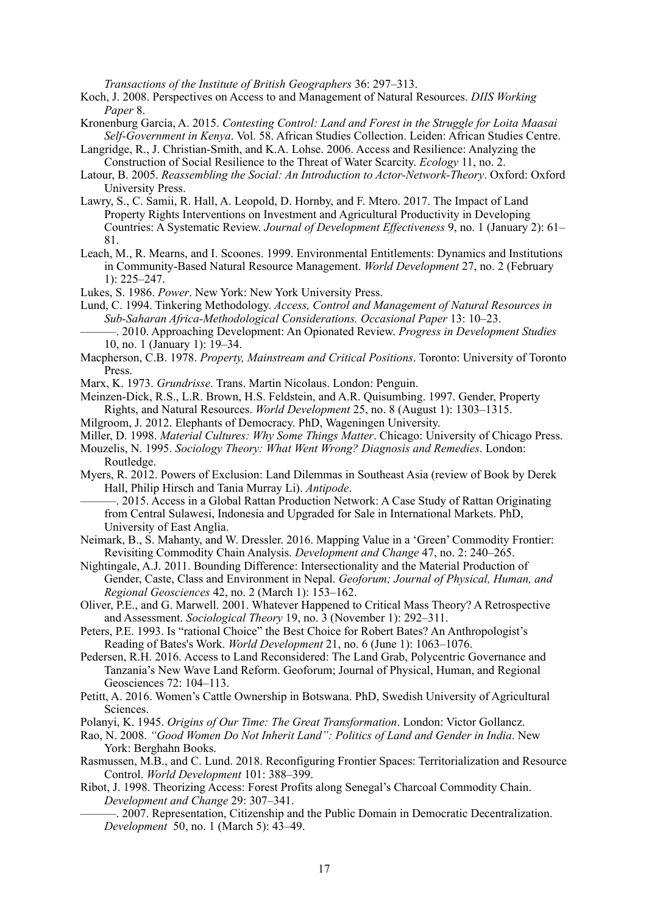*[Transactions of the Institute of British Geographers](http://paperpile.com/b/mYXh9c/uu4tk)* [36: 297–313.](http://paperpile.com/b/mYXh9c/uu4tk) 

- [Koch, J. 2008. Perspectives on Access to and Management of Natural Resources.](http://paperpile.com/b/mYXh9c/kzRXq) *[DIIS Working](http://paperpile.com/b/mYXh9c/kzRXq)  [Paper](http://paperpile.com/b/mYXh9c/kzRXq)* [8.](http://paperpile.com/b/mYXh9c/kzRXq)
- [Kronenburg García, A. 2015.](http://paperpile.com/b/mYXh9c/HUtR0) *[Contesting Control: Land and Forest in the Struggle for Loita Maasai](http://paperpile.com/b/mYXh9c/HUtR0)  [Self-Government in Kenya](http://paperpile.com/b/mYXh9c/HUtR0)*[. Vol. 58. African Studies Collection. Leiden: African Studies Centre.](http://paperpile.com/b/mYXh9c/HUtR0)
- [Langridge, R., J. Christian-Smith, and K.A. Lohse. 2006. Access and Resilience: Analyzing the](http://paperpile.com/b/mYXh9c/mEogk)  [Construction of Social Resilience to the Threat of Water Scarcity.](http://paperpile.com/b/mYXh9c/mEogk) *[Ecology](http://paperpile.com/b/mYXh9c/mEogk)* [11, no. 2.](http://paperpile.com/b/mYXh9c/mEogk)
- [Latour, B. 2005.](http://paperpile.com/b/mYXh9c/t8t1V) *[Reassembling the Social: An Introduction to Actor-Network-Theory](http://paperpile.com/b/mYXh9c/t8t1V)*[. Oxford: Oxford](http://paperpile.com/b/mYXh9c/t8t1V)  [University Press.](http://paperpile.com/b/mYXh9c/t8t1V)
- [Lawry, S., C. Samii, R. Hall, A. Leopold, D. Hornby, and F. Mtero. 2017. The Impact of Land](http://paperpile.com/b/mYXh9c/5d5Df)  [Property Rights Interventions on Investment and Agricultural Productivity in Developing](http://paperpile.com/b/mYXh9c/5d5Df)  [Countries: A Systematic Review.](http://paperpile.com/b/mYXh9c/5d5Df) *[Journal of Development Effectiveness](http://paperpile.com/b/mYXh9c/5d5Df)* [9, no. 1 \(January 2\): 61–](http://paperpile.com/b/mYXh9c/5d5Df) [81.](http://paperpile.com/b/mYXh9c/5d5Df)
- [Leach, M., R. Mearns, and I. Scoones. 1999. Environmental Entitlements: Dynamics and Institutions](http://paperpile.com/b/mYXh9c/qqcN5)  [in Community-Based Natural Resource Management.](http://paperpile.com/b/mYXh9c/qqcN5) *[World Development](http://paperpile.com/b/mYXh9c/qqcN5)* [27, no. 2 \(February](http://paperpile.com/b/mYXh9c/qqcN5)  [1\): 225–247.](http://paperpile.com/b/mYXh9c/qqcN5)
- [Lukes, S. 1986.](http://paperpile.com/b/mYXh9c/JIerj) *[Power](http://paperpile.com/b/mYXh9c/JIerj)*[. New York: New York University Press.](http://paperpile.com/b/mYXh9c/JIerj)
- [Lund, C. 1994. Tinkering Methodology.](http://paperpile.com/b/mYXh9c/JcTAk) *[Access, Control and Management of Natural Resources in](http://paperpile.com/b/mYXh9c/JcTAk)  [Sub-Saharan Africa-Methodological Considerations. Occasional Paper](http://paperpile.com/b/mYXh9c/JcTAk)* [13: 10–23.](http://paperpile.com/b/mYXh9c/JcTAk)
- [———. 2010. Approaching Development: An Opionated Review.](http://paperpile.com/b/mYXh9c/YSjBb) *[Progress in Development Studies](http://paperpile.com/b/mYXh9c/YSjBb)* [10, no. 1 \(January 1\): 19–34.](http://paperpile.com/b/mYXh9c/YSjBb)
- [Macpherson, C.B. 1978.](http://paperpile.com/b/mYXh9c/FpiMs) *[Property, Mainstream and Critical Positions](http://paperpile.com/b/mYXh9c/FpiMs)*[. Toronto: University of Toronto](http://paperpile.com/b/mYXh9c/FpiMs)  [Press.](http://paperpile.com/b/mYXh9c/FpiMs)
- [Marx, K. 1973.](http://paperpile.com/b/mYXh9c/F6BqN) *[Grundrisse](http://paperpile.com/b/mYXh9c/F6BqN)*[. Trans. Martin Nicolaus. London: Penguin.](http://paperpile.com/b/mYXh9c/F6BqN)

[Meinzen-Dick, R.S., L.R. Brown, H.S. Feldstein, and A.R. Quisumbing. 1997. Gender, Property](http://paperpile.com/b/mYXh9c/PjiGp)  [Rights, and Natural Resources.](http://paperpile.com/b/mYXh9c/PjiGp) *[World Development](http://paperpile.com/b/mYXh9c/PjiGp)* [25, no. 8 \(August 1\): 1303–1315.](http://paperpile.com/b/mYXh9c/PjiGp) 

- [Milgroom, J. 2012. Elephants of Democracy. PhD, Wageningen University.](http://paperpile.com/b/mYXh9c/3dBaD)
- [Miller, D. 1998.](http://paperpile.com/b/mYXh9c/EOZ3T) *[Material Cultures: Why Some Things Matter](http://paperpile.com/b/mYXh9c/EOZ3T)*[. Chicago: University of Chicago Press.](http://paperpile.com/b/mYXh9c/EOZ3T)

[Mouzelis, N. 1995.](http://paperpile.com/b/mYXh9c/f3Oeg) *[Sociology Theory: What Went Wrong? Diagnosis and Remedies](http://paperpile.com/b/mYXh9c/f3Oeg)*[. London:](http://paperpile.com/b/mYXh9c/f3Oeg)  [Routledge.](http://paperpile.com/b/mYXh9c/f3Oeg) 

- [Myers, R. 2012. Powers of Exclusion: Land Dilemmas in Southeast Asia \(review of Book by Derek](http://paperpile.com/b/mYXh9c/TpyPL)  [Hall, Philip Hirsch and Tania Murray Li\).](http://paperpile.com/b/mYXh9c/TpyPL) *[Antipode](http://paperpile.com/b/mYXh9c/TpyPL)*[.](http://paperpile.com/b/mYXh9c/TpyPL)
	- [———. 2015. Access in a Global Rattan Production Network: A Case Study of Rattan Originating](http://paperpile.com/b/mYXh9c/UyGbT)  [from Central Sulawesi, Indonesia and Upgraded for Sale in International Markets. PhD,](http://paperpile.com/b/mYXh9c/UyGbT)  [University of East Anglia.](http://paperpile.com/b/mYXh9c/UyGbT)
- [Neimark, B., S. Mahanty, and W. Dressler. 2016. Mapping Value in a 'Green' Commodity Frontier:](http://paperpile.com/b/mYXh9c/69ZzQ)  [Revisiting Commodity Chain Analysis.](http://paperpile.com/b/mYXh9c/69ZzQ) *[Development and Change](http://paperpile.com/b/mYXh9c/69ZzQ)* [47, no. 2: 240–265.](http://paperpile.com/b/mYXh9c/69ZzQ)
- [Nightingale, A.J. 2011. Bounding Difference: Intersectionality and the Material Production of](http://paperpile.com/b/mYXh9c/inW76)  [Gender, Caste, Class and Environment in Nepal.](http://paperpile.com/b/mYXh9c/inW76) *[Geoforum; Journal of Physical, Human, and](http://paperpile.com/b/mYXh9c/inW76)  [Regional Geosciences](http://paperpile.com/b/mYXh9c/inW76)* [42, no. 2 \(March 1\): 153–162.](http://paperpile.com/b/mYXh9c/inW76)
- [Oliver, P.E., and G. Marwell. 2001. Whatever Happened to Critical Mass Theory? A Retrospective](http://paperpile.com/b/mYXh9c/3uiil)  [and Assessment.](http://paperpile.com/b/mYXh9c/3uiil) *[Sociological Theory](http://paperpile.com/b/mYXh9c/3uiil)* [19, no. 3 \(November 1\): 292–311.](http://paperpile.com/b/mYXh9c/3uiil)
- [Peters, P.E. 1993. Is "rational Choice" the Best Choice for Robert Bates? An Anthropologist's](http://paperpile.com/b/mYXh9c/ZPJSx)  [Reading of Bates's Work.](http://paperpile.com/b/mYXh9c/ZPJSx) *[World Development](http://paperpile.com/b/mYXh9c/ZPJSx)* [21, no. 6 \(June 1\): 1063–1076.](http://paperpile.com/b/mYXh9c/ZPJSx)
- Pedersen, R.H. 2016. Access to Land Reconsidered: The Land Grab, Polycentric Governance and Tanzania's New Wave Land Reform. Geoforum; Journal of Physical, Human, and Regional Geosciences 72: 104–113.
- [Petitt, A. 2016. Women's Cattle Ownership in Botswana. PhD, Swedish University of Agricultural](http://paperpile.com/b/mYXh9c/3XLLT)  [Sciences.](http://paperpile.com/b/mYXh9c/3XLLT)
- [Polanyi, K. 1945.](http://paperpile.com/b/mYXh9c/SZXwm) *[Origins of Our Time: The Great Transformation](http://paperpile.com/b/mYXh9c/SZXwm)*[. London: Victor Gollancz.](http://paperpile.com/b/mYXh9c/SZXwm)
- [Rao, N. 2008.](http://paperpile.com/b/mYXh9c/wWTGV) *["Good Women Do Not Inherit Land": Politics of Land and Gender in India](http://paperpile.com/b/mYXh9c/wWTGV)*[. New](http://paperpile.com/b/mYXh9c/wWTGV)  [York: Berghahn Books.](http://paperpile.com/b/mYXh9c/wWTGV)
- [Rasmussen, M.B., and C. Lund. 2018. Reconfiguring Frontier Spaces: Territorialization and Resource](http://paperpile.com/b/mYXh9c/KwMO)  [Control.](http://paperpile.com/b/mYXh9c/KwMO) *[World Development](http://paperpile.com/b/mYXh9c/KwMO)* [101: 388–399.](http://paperpile.com/b/mYXh9c/KwMO)
- [Ribot, J. 1998. Theorizing Access: Forest Profits along Senegal's Charcoal Commodity Chain.](http://paperpile.com/b/mYXh9c/6NFYX)  *[Development and Change](http://paperpile.com/b/mYXh9c/6NFYX)* [29: 307–341.](http://paperpile.com/b/mYXh9c/6NFYX)
	- [———. 2007. Representation, Citizenship and the Public Domain in Democratic Decentralization.](http://paperpile.com/b/mYXh9c/qtVn)  *[Development](http://paperpile.com/b/mYXh9c/qtVn)* [50, no. 1 \(March 5\): 43–49.](http://paperpile.com/b/mYXh9c/qtVn)